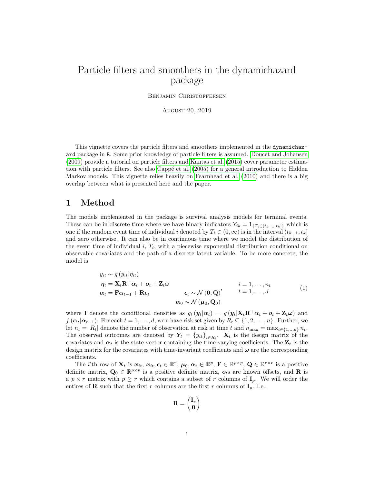# Particle filters and smoothers in the dynamichazard package

Benjamin Christoffersen

August 20, 2019

This vignette covers the particle filters and smoothers implemented in the dynamichazard package in R. Some prior knowledge of particle filters is assumed. [Doucet and Johansen](#page-25-0) [\(2009\)](#page-25-0) provide a tutorial on particle filters and [Kantas et al. \(2015\)](#page-25-1) cover parameter estimation with particle filters. See also Cappé et al. (2005) for a general introduction to Hidden Markov models. This vignette relies heavily on [Fearnhead et al. \(2010\)](#page-25-3) and there is a big overlap between what is presented here and the paper.

## 1 Method

The models implemented in the package is survival analysis models for terminal events. These can be in discrete time where we have binary indicators  $Y_{ik} = 1_{\{T_i \in (t_{k-1}, t_k]\}}$  which is one if the random event time of individual i denoted by  $T_i \in (0,\infty)$  is in the interval  $(t_{k-1}, t_k]$ and zero otherwise. It can also be in continuous time where we model the distribution of the event time of individual  $i, T_i$ , with a piecewise exponential distribution conditional on observable covariates and the path of a discrete latent variable. To be more concrete, the model is

<span id="page-0-0"></span>
$$
y_{it} \sim g(y_{it}|\eta_{it})
$$
\n
$$
\eta_t = \mathbf{X}_t \mathbf{R}^+ \alpha_t + o_t + \mathbf{Z}_t \omega
$$
\n
$$
\alpha_t = \mathbf{F} \alpha_{t-1} + \mathbf{R} \epsilon_t \qquad \epsilon_t \sim \mathcal{N}(\mathbf{0}, \mathbf{Q}) \qquad t = 1, ..., d
$$
\n
$$
\alpha_0 \sim \mathcal{N}(\boldsymbol{\mu}_0, \mathbf{Q}_0)
$$
\n(1)

where I denote the conditional densities as  $g_t(y_t|\alpha_t) = g(y_t|\mathbf{X}_t\mathbf{R}^+\alpha_t + \mathbf{o}_t + \mathbf{Z}_t\boldsymbol{\omega})$  and  $f(\alpha_t|\alpha_{t-1})$ . For each  $t = 1, \ldots, d$ , we a have risk set given by  $R_t \subseteq \{1, 2, \ldots, n\}$ . Further, we let  $n_t = |R_t|$  denote the number of observation at risk at time t and  $n_{\text{max}} = \max_{t \in \{1, \ldots, d\}} n_t$ . The observed outcomes are denoted by  $Y_t = \{y_{it}\}_{i \in R_t}$ .  $\mathbf{X}_t$  is the design matrix of the covariates and  $\alpha_t$  is the state vector containing the time-varying coefficients. The  $\mathbf{Z}_t$  is the design matrix for the covariates with time-invariant coefficients and  $\omega$  are the corresponding coefficients.

The *i*'th row of  $\mathbf{X}_t$  is  $x_{it}$ ,  $x_{it}$ ,  $\boldsymbol{\epsilon}_t \in \mathbb{R}^r$ ,  $\boldsymbol{\mu}_0, \boldsymbol{\alpha}_t \in \mathbb{R}^p$ ,  $\mathbf{F} \in \mathbb{R}^{p \times p}$ ,  $\mathbf{Q} \in \mathbb{R}^{r \times r}$  is a positive definite matrix,  $Q_0 \in \mathbb{R}^{p \times p}$  is a positive definite matrix,  $o_t$ s are known offsets, and **R** is a  $p \times r$  matrix with  $p \geq r$  which contains a subset of r columns of  $\mathbf{I}_p$ . We will order the entires of **R** such that the first r columns are the first r columns of  $I_p$ . I.e.,

$$
\mathbf{R} = \begin{pmatrix} \mathbf{I}_r \\ \mathbf{0} \end{pmatrix}
$$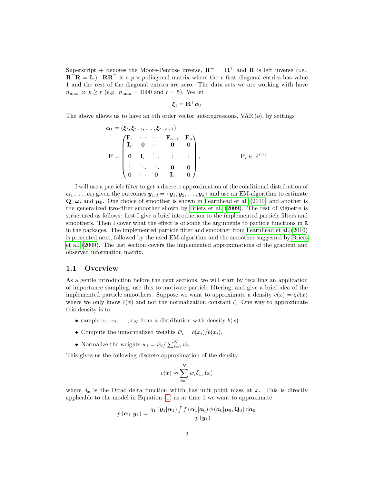Superscript + denotes the Moore-Penrose inverse,  $\mathbf{R}^+ = \mathbf{R}^\top$  and  $\mathbf{R}$  is left inverse (i.e.,  $\mathbf{R}^\top \mathbf{R} = \mathbf{I}_r$ ).  $\mathbf{R} \mathbf{R}^\top$  is a  $p \times p$  diagonal matrix where the r first diagonal entries has value 1 and the rest of the diagonal entries are zero. The data sets we are working with have  $n_{\text{max}} \gg p \ge r$  (e.g.  $n_{\text{max}} = 1000$  and  $r = 5$ ). We let

$$
\pmb{\xi}_t = \mathbf{R}^+ \pmb{\alpha}_t
$$

The above allows us to have an oth order vector autoregressions,  $VAR (o)$ , by settings

$$
\alpha_t = (\xi_t, \xi_{t-1}, \dots, \xi_{t-o+1})
$$
\n
$$
\mathbf{F} = \begin{pmatrix}\n\mathbf{F}_1 & \cdots & \cdots & \mathbf{F}_{o-1} & \mathbf{F}_o \\
\mathbf{I}_r & \mathbf{0} & \cdots & \mathbf{0} & \mathbf{0} \\
\mathbf{0} & \mathbf{I}_r & \ddots & \vdots & \vdots \\
\vdots & \ddots & \ddots & \mathbf{0} & \mathbf{0} \\
\mathbf{0} & \cdots & \mathbf{0} & \mathbf{I}_r & \mathbf{0}\n\end{pmatrix}, \qquad \mathbf{F}_i \in \mathbb{R}^{r \times r}
$$

I will use a particle filter to get a discrete approximation of the conditional distribution of  $\alpha_1, \ldots, \alpha_d$  given the outcomes  $y_{1:d} = \{y_1, y_2, \ldots, y_d\}$  and use an EM-algorithm to estimate  $\mathbf{Q}, \boldsymbol{\omega}$ , and  $\boldsymbol{\mu}_0$ . One choice of smoother is shown in [Fearnhead et al. \(2010\)](#page-25-3) and another is the generalized two-filter smoother shown by [Briers et al. \(2009\)](#page-25-4). The rest of vignette is structured as follows: first I give a brief introduction to the implemented particle filters and smoothers. Then I cover what the effect is of some the arguments to particle functions in R in the packages. The implemented particle filter and smoother from [Fearnhead et al. \(2010\)](#page-25-3) is presented next, followed by the used EM-algorithm and the smoother suggested by [Briers](#page-25-4) [et al. \(2009\)](#page-25-4). The last section covers the implemented approximations of the gradient and observed information matrix.

#### 1.1 Overview

As a gentle introduction before the next sections, we will start by recalling an application of importance sampling, use this to motivate particle filtering, and give a brief idea of the implemented particle smoothers. Suppose we want to approximate a density  $c(x) = \zeta \tilde{c}(x)$ where we only know  $\tilde{c}(x)$  and not the normalization constant  $\zeta$ . One way to approximate this density is to

- sample  $x_1, x_2, \ldots, x_N$  from a distribution with density  $b(x)$ .
- Compute the unnormalized weights  $\bar{w}_i = \tilde{c}(x_i)/b(x_i)$ .
- Normalize the weights  $w_i = \bar{w}_i / \sum_{i=1}^N \bar{w}_i$ .

This gives us the following discrete approximation of the density

$$
c(x) \approx \sum_{i=1}^{N} w_i \delta_{x_i}(x)
$$

where  $\delta_x$  is the Dirac delta function which has unit point mass at x. This is directly applicable to the model in Equation [\(1\)](#page-0-0) as at time 1 we want to approximate

$$
p\left(\boldsymbol{\alpha}_1|\boldsymbol{y}_1\right) = \frac{g_1\left(\boldsymbol{y}_1|\boldsymbol{\alpha}_1\right)\int f\left(\boldsymbol{\alpha}_1|\boldsymbol{a}_0\right)\phi\left(\boldsymbol{a}_0|\boldsymbol{\mu}_0,\mathbf{Q}_0\right)\mathrm{d}\boldsymbol{a}_0}{p\left(\boldsymbol{y}_1\right)}
$$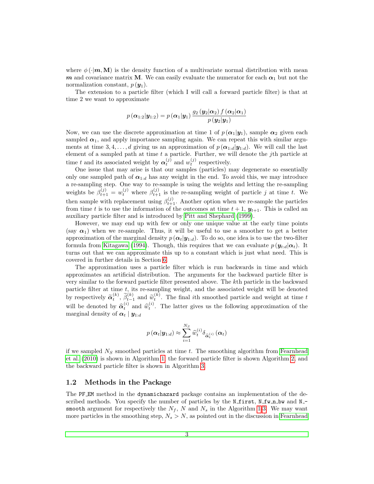where  $\phi(\cdot|m, M)$  is the density function of a multivariate normal distribution with mean m and covariance matrix M. We can easily evaluate the numerator for each  $\alpha_1$  but not the normalization constant,  $p(\mathbf{y}_1)$ .

The extension to a particle filter (which I will call a forward particle filter) is that at time 2 we want to approximate

$$
p\left(\boldsymbol{\alpha}_{1:2}|\boldsymbol{y}_{1:2}\right)=p\left(\boldsymbol{\alpha}_{1}|\boldsymbol{y}_{1}\right)\frac{g_{2}\left(\boldsymbol{y}_{2}|\boldsymbol{\alpha}_{2}\right)f\left(\boldsymbol{\alpha}_{2}|\boldsymbol{\alpha}_{1}\right)}{p\left(\boldsymbol{y}_{2}|\boldsymbol{y}_{1}\right)}
$$

Now, we can use the discrete approximation at time 1 of  $p(\alpha_1|y_1)$ , sample  $\alpha_2$  given each sampled  $\alpha_1$ , and apply importance sampling again. We can repeat this with similar arguments at time 3, 4, ..., d giving us an approximation of  $p(\mathbf{\alpha}_{1:d}|\mathbf{y}_{1:d})$ . We will call the last element of a sampled path at time  $t$  a particle. Further, we will denote the  $j$ th particle at time t and its associated weight by  $\alpha_t^{(j)}$  and  $w_t^{(j)}$  respectively.

One issue that may arise is that our samples (particles) may degenerate so essentially only one sampled path of  $\alpha_{1:d}$  has any weight in the end. To avoid this, we may introduce a re-sampling step. One way to re-sample is using the weights and letting the re-sampling weights be  $\beta_{t+1}^{(j)} = w_t^{(j)}$  where  $\beta_{t+1}^{(j)}$  is the re-sampling weight of particle j at time t. We then sample with replacement using  $\beta_{t+1}^{(j)}$ . Another option when we re-sample the particles from time t is to use the information of the outcomes at time  $t + 1$ ,  $y_{t+1}$ . This is called an auxiliary particle filter and is introduced by [Pitt and Shephard \(1999\)](#page-26-0).

However, we may end up with few or only one unique value at the early time points (say  $\alpha_1$ ) when we re-sample. Thus, it will be useful to use a smoother to get a better approximation of the marginal density  $p(\alpha_t|\mathbf{y}_{1:d})$ . To do so, one idea is to use the two-filter formula from [Kitagawa \(1994\)](#page-25-5). Though, this requires that we can evaluate  $p(\mathbf{y}_{t:d}|\boldsymbol{\alpha}_t)$ . It turns out that we can approximate this up to a constant which is just what need. This is covered in further details in Section [6.](#page-18-0)

The approximation uses a particle filter which is run backwards in time and which approximates an artificial distribution. The arguments for the backward particle filter is very similar to the forward particle filter presented above. The kth particle in the backward particle filter at time  $t$ , its re-sampling weight, and the associated weight will be denoted by respectively  $\widetilde{\alpha}_t^{(k)}$ ,  $\widetilde{\beta}_{t-1}^{(k)}$  and  $\widetilde{w}_t^{(k)}$ . The final ith smoothed particle and weight at time t will be denoted by  $\hat{\alpha}_t^{(i)}$  and  $\hat{w}_t^{(i)}$ . The latter gives us the following approximation of the marginal density of  $\alpha_t | y_{1:d}$ 

$$
p\left(\boldsymbol{\alpha}_{t} | \boldsymbol{y}_{1:d}\right) \approx \sum_{i=1}^{N_{S}} \widehat{w}_{t}^{\left(i\right)} \delta_{\widehat{\boldsymbol{\alpha}}_{t}^{\left(i\right)}}\left(\boldsymbol{\alpha}_{t}\right)
$$

if we sampled  $N<sub>S</sub>$  smoothed particles at time t. The smoothing algorithm from [Fearnhead](#page-25-3) [et al. \(2010\)](#page-25-3) is shown in Algorithm [1,](#page-8-0) the forward particle filter is shown Algorithm [2,](#page-9-0) and the backward particle filter is shown in Algorithm [3.](#page-10-0)

#### 1.2 Methods in the Package

The PF EM method in the dynamichazard package contains an implementation of the described methods. You specify the number of particles by the  $N$ -first,  $N$ -fw n bw and  $N$ smooth argument for respectively the  $N_f$ , N and  $N_s$  in the Algorithm [1](#page-8-0)[-3.](#page-10-0) We may want more particles in the smoothing step,  $N_s > N$ , as pointed out in the discussion in [Fearnhead](#page-25-3)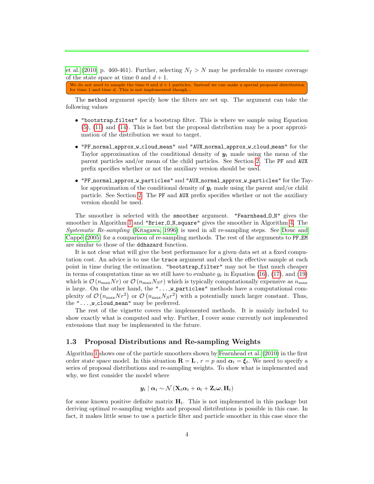[et al. \(2010,](#page-25-3) p. 460-461). Further, selecting  $N_f > N$  may be preferable to ensure coverage of the state space at time 0 and  $d+1$ .

We do not need to sample the time 0 and  $d+1$  particles. Instead we can make a special proposal distribution for time 1 and time d. This is not implemented though...

The method argument specify how the filters are set up. The argument can take the following values

- "bootstrap filter" for a bootstrap filter. This is where we sample using Equation [\(5\)](#page-4-0), [\(11\)](#page-6-0) and [\(14\)](#page-7-0). This is fast but the proposal distribution may be a poor approximation of the distribution we want to target.
- "PF normal approx w cloud mean" and "AUX normal approx w cloud mean" for the Taylor approximation of the conditional density of  $y_t$  made using the mean of the parent particles and/or mean of the child particles. See Section [2.](#page-11-0) The PF and AUX prefix specifies whether or not the auxiliary version should be used.
- "PF normal approx w particles" and "AUX normal approx w particles" for the Taylor approximation of the conditional density of  $y_t$  made using the parent and/or child particle. See Section [2.](#page-11-0) The PF and AUX prefix specifies whether or not the auxiliary version should be used.

The smoother is selected with the smoother argument. "Fearnhead O N" gives the smoother in Algorithm [1](#page-8-0) and "Brier\_0\_N\_square" gives the smoother in Algorithm [4.](#page-20-0) The *Systematic Re-sampling* [\(Kitagawa, 1996\)](#page-25-6) is used in all re-sampling steps. See [Douc and](#page-25-7) Cappé (2005) for a comparison of re-sampling methods. The rest of the arguments to PF EM are similar to those of the ddhazard function.

It is not clear what will give the best performance for a given data set at a fixed computation cost. An advice is to use the trace argument and check the effective sample at each point in time during the estimation. "bootstrap\_filter" may not be that much cheaper in terms of computation time as we still have to evaluate  $g_t$  in Equation [\(16\)](#page-8-1), [\(17\)](#page-9-1), and [\(19\)](#page-10-1) which is  $\mathcal{O}(n_{\text{max}}Nr)$  or  $\mathcal{O}(n_{\text{max}}Nsr)$  which is typically computationally expensive as  $n_{\text{max}}$ is large. On the other hand, the "... w particles" methods have a computational complexity of  $\mathcal{O}(n_{\max}Nr^2)$  or  $\mathcal{O}(n_{\max}N_Sr^2)$  with a potentially much larger constant. Thus, the  $"...$  w\_cloud\_mean" may be preferred.

The rest of the vignette covers the implemented methods. It is mainly included to show exactly what is computed and why. Further, I cover some currently not implemented extensions that may be implemented in the future.

#### 1.3 Proposal Distributions and Re-sampling Weights

Algorithm [1](#page-8-0) shows one of the particle smoothers shown by [Fearnhead et al.](#page-25-3) [\(2010\)](#page-25-3) in the first order state space model. In this situation  $\mathbf{R} = \mathbf{I}_r$ ,  $r = p$  and  $\boldsymbol{\alpha}_t = \boldsymbol{\xi}_t$ . We need to specify a series of proposal distributions and re-sampling weights. To show what is implemented and why, we first consider the model where

$$
\boldsymbol{y}_{t} \mid \boldsymbol{\alpha}_{t} \sim \mathcal{N}\left(\mathbf{X}_{t} \boldsymbol{\alpha}_{t} + \boldsymbol{o}_{t} + \mathbf{Z}_{t} \boldsymbol{\omega}, \mathbf{H}_{t}\right)
$$

for some known positive definite matrix  $H_t$ . This is not implemented in this package but deriving optimal re-sampling weights and proposal distributions is possible in this case. In fact, it makes little sense to use a particle filter and particle smoother in this case since the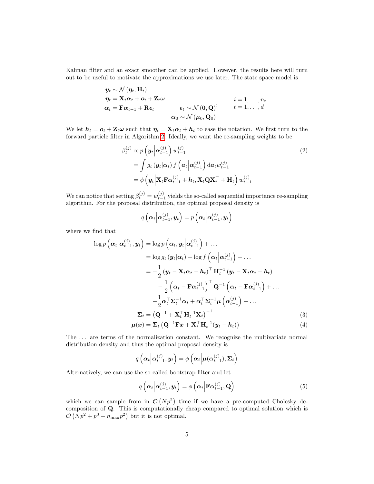Kalman filter and an exact smoother can be applied. However, the results here will turn out to be useful to motivate the approximations we use later. The state space model is

$$
\mathbf{y}_{t} \sim \mathcal{N}(\eta_{t}, \mathbf{H}_{t})
$$
\n
$$
\eta_{t} = \mathbf{X}_{t} \alpha_{t} + \mathbf{o}_{t} + \mathbf{Z}_{t} \omega
$$
\n
$$
\alpha_{t} = \mathbf{F} \alpha_{t-1} + \mathbf{R} \epsilon_{t} \qquad \qquad \epsilon_{t} \sim \mathcal{N}(\mathbf{0}, \mathbf{Q}) \qquad \qquad t = 1, \ldots, d
$$
\n
$$
\alpha_{0} \sim \mathcal{N}(\boldsymbol{\mu}_{0}, \mathbf{Q}_{0})
$$

We let  $h_t = o_t + \mathbf{Z}_t \omega$  such that  $\eta_t = \mathbf{X}_t \alpha_t + h_t$  to ease the notation. We first turn to the forward particle filter in Algorithm [2.](#page-9-0) Ideally, we want the re-sampling weights to be

$$
\beta_t^{(j)} \propto p\left(\mathbf{y}_t \middle| \mathbf{\alpha}_{t-1}^{(j)}\right) w_{t-1}^{(j)} \tag{2}
$$
\n
$$
= \int g_t\left(\mathbf{y}_t \middle| \mathbf{\alpha}_t\right) f\left(\mathbf{a}_t \middle| \mathbf{\alpha}_{t-1}^{(j)}\right) \mathrm{d}\mathbf{a}_t w_{t-1}^{(j)}
$$
\n
$$
= \phi\left(\mathbf{y}_t \middle| \mathbf{X}_t \mathbf{F} \mathbf{\alpha}_{t-1}^{(j)} + \mathbf{h}_t, \mathbf{X}_t \mathbf{Q} \mathbf{X}_t^\top + \mathbf{H}_t\right) w_{t-1}^{(j)}
$$

We can notice that setting  $\beta_t^{(j)} = w_{t-1}^{(j)}$  yields the so-called sequential importance re-sampling algorithm. For the proposal distribution, the optimal proposal density is

$$
q\left(\boldsymbol{\alpha}_{t}\middle|\boldsymbol{\alpha}_{t-1}^{(j)},\boldsymbol{y}_{t}\right)=p\left(\boldsymbol{\alpha}_{t}\middle|\boldsymbol{\alpha}_{t-1}^{(j)},\boldsymbol{y}_{t}\right)
$$

where we find that

$$
\log p\left(\alpha_{t} \middle| \alpha_{t-1}^{(j)}, y_{t}\right) = \log p\left(\alpha_{t}, y_{t} \middle| \alpha_{t-1}^{(j)}\right) + \dots
$$
\n
$$
= \log g_{t}\left(y_{t} \middle| \alpha_{t}\right) + \log f\left(\alpha_{t} \middle| \alpha_{t-1}^{(j)}\right) + \dots
$$
\n
$$
= -\frac{1}{2}\left(y_{t} - \mathbf{X}_{t}\alpha_{t} - \mathbf{h}_{t}\right)^{\top} \mathbf{H}_{t}^{-1}\left(y_{t} - \mathbf{X}_{t}\alpha_{t} - \mathbf{h}_{t}\right)
$$
\n
$$
- \frac{1}{2}\left(\alpha_{t} - \mathbf{F}\alpha_{t-1}^{(j)}\right)^{\top} \mathbf{Q}^{-1}\left(\alpha_{t} - \mathbf{F}\alpha_{t-1}^{(j)}\right) + \dots
$$
\n
$$
= -\frac{1}{2}\alpha_{t}^{\top} \mathbf{\Sigma}_{t}^{-1} \alpha_{t} + \alpha_{t}^{\top} \mathbf{\Sigma}_{t}^{-1} \mu\left(\alpha_{t-1}^{(j)}\right) + \dots
$$
\n
$$
\mathbf{\Sigma}_{t} = \left(\mathbf{Q}^{-1} + \mathbf{X}_{t}^{\top} \mathbf{H}_{t}^{-1} \mathbf{X}_{t}\right)^{-1} \qquad (3)
$$
\n
$$
\mu(x) = \mathbf{\Sigma}_{t}\left(\mathbf{Q}^{-1} \mathbf{F} x + \mathbf{X}_{t}^{\top} \mathbf{H}_{t}^{-1} \left(y_{t} - \mathbf{h}_{t}\right)\right) \qquad (4)
$$

The ... are terms of the normalization constant. We recognize the multivariate normal distribution density and thus the optimal proposal density is

<span id="page-4-2"></span><span id="page-4-1"></span>
$$
q\left(\boldsymbol{\alpha}_{t}\middle|\boldsymbol{\alpha}_{t-1}^{(j)},\boldsymbol{y}_{t}\right)=\phi\left(\boldsymbol{\alpha}_{t}\middle|\boldsymbol{\mu}(\boldsymbol{\alpha}_{t-1}^{(j)}),\boldsymbol{\Sigma}_{t}\right)
$$

Alternatively, we can use the so-called bootstrap filter and let

<span id="page-4-0"></span>
$$
q\left(\boldsymbol{\alpha}_t\middle|\boldsymbol{\alpha}_{t-1}^{(j)},\boldsymbol{y}_t\right)=\phi\left(\boldsymbol{\alpha}_t\middle|\mathbf{F}\boldsymbol{\alpha}_{t-1}^{(j)},\mathbf{Q}\right)
$$
\n(5)

which we can sample from in  $\mathcal{O}(Np^2)$  time if we have a pre-computed Cholesky decomposition of Q. This is computationally cheap compared to optimal solution which is  $\mathcal{O}(Np^2 + p^3 + n_{\text{max}}p^2)$  but it is not optimal.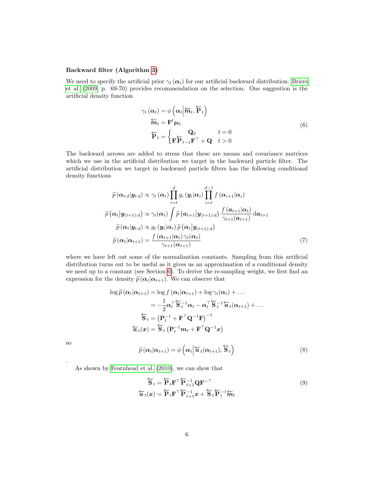#### Backward filter (Algorithm [3\)](#page-10-0)

We need to specify the artificial prior  $\gamma_t(\alpha_t)$  for our artificial backward distribution. [Briers](#page-25-4) [et al. \(2009,](#page-25-4) p. 69-70) provides recommendation on the selection. One suggestion is the artificial density function

$$
\gamma_t(\alpha_t) = \phi\left(\alpha_t \middle| \overleftarrow{m}_t, \overleftarrow{P}_t\right)\right)
$$

$$
\overleftarrow{m}_t = \mathbf{F}^t \mu_0
$$

$$
\overleftarrow{P}_t = \begin{cases} \mathbf{Q}_0 & t = 0\\ \mathbf{F} \overleftarrow{P}_{t-1} \mathbf{F}^\top + \mathbf{Q} & t > 0 \end{cases}
$$
(6)

<span id="page-5-1"></span>The backward arrows are added to stress that these are means and covariance matrices which we use in the artificial distribution we target in the backward particle filter. The artificial distribution we target in backward particle filters has the following conditional density functions

$$
\widetilde{p}(\boldsymbol{\alpha}_{t:d}|\boldsymbol{y}_{t:d}) \propto \gamma_t(\boldsymbol{\alpha}_t) \prod_{i=t}^d g_i(\boldsymbol{y}_i|\boldsymbol{\alpha}_i) \prod_{i=t}^{d-1} f(\boldsymbol{\alpha}_{i+1}|\boldsymbol{\alpha}_i) \n\widetilde{p}(\boldsymbol{\alpha}_t|\boldsymbol{y}_{(t+1):d}) \propto \gamma_t(\boldsymbol{\alpha}_t) \int \widetilde{p}(\boldsymbol{a}_{t+1}|\boldsymbol{y}_{(t+1):d}) \frac{f(\boldsymbol{a}_{t+1}|\boldsymbol{\alpha}_t)}{\gamma_{t+1}(\boldsymbol{a}_{t+1})} d\boldsymbol{a}_{t+1} \n\widetilde{p}(\boldsymbol{\alpha}_t|\boldsymbol{y}_{t:d}) \propto g_t(\boldsymbol{y}_t|\boldsymbol{\alpha}_t) \widetilde{p}(\boldsymbol{\alpha}_t|\boldsymbol{y}_{(t+1):d}) \n\widetilde{p}(\boldsymbol{\alpha}_t|\boldsymbol{\alpha}_{t+1}) = \frac{f(\boldsymbol{\alpha}_{t+1}|\boldsymbol{\alpha}_t)\gamma_t(\boldsymbol{\alpha}_t)}{\gamma_{t+1}(\boldsymbol{\alpha}_{t+1})}
$$
\n(7)

where we have left out some of the normalization constants. Sampling from this artificial distribution turns out to be useful as it gives us an approximation of a conditional density we need up to a constant (see Section [6\)](#page-18-0). To derive the re-sampling weight, we first find an expression for the density  $\tilde{p}(\alpha_t|\alpha_{t+1})$ . We can observe that

$$
\log \widetilde{p}(\alpha_t|\alpha_{t+1}) = \log f(\alpha_t|\alpha_{t+1}) + \log \gamma_t(\alpha_t) + \dots
$$
  
\n
$$
= -\frac{1}{2}\alpha_t^\top \overleftarrow{S}_t^{-1} \alpha_t - \alpha_t^\top \overleftarrow{S}_t^{-1} \overleftarrow{a}_t(\alpha_{t+1}) + \dots
$$
  
\n
$$
\overleftarrow{S}_t = (\mathbf{P}_t^{-1} + \mathbf{F}^\top \mathbf{Q}^{-1} \mathbf{F})^{-1}
$$
  
\n
$$
\overleftarrow{a}_t(\mathbf{x}) = \overleftarrow{S}_t (\mathbf{P}_t^{-1} \mathbf{m}_t + \mathbf{F}^\top \mathbf{Q}^{-1} \mathbf{x})
$$

so

.

<span id="page-5-0"></span>
$$
\widetilde{p}(\boldsymbol{\alpha}_t|\boldsymbol{\alpha}_{t+1}) = \phi\left(\boldsymbol{\alpha}_t\middle|\overleftarrow{\boldsymbol{a}}_t(\boldsymbol{\alpha}_{t+1}), \overleftarrow{\mathbf{S}}_t\right)\right) \tag{8}
$$

As shown by [Fearnhead et al. \(2010\)](#page-25-3), we can show that

<span id="page-5-2"></span>
$$
\overleftarrow{\mathbf{S}}_t = \overleftarrow{\mathbf{P}}_t \mathbf{F}^\top \overleftarrow{\mathbf{P}}_{t+1}^{-1} \mathbf{Q} \mathbf{F}^{-\top} \n\overleftarrow{\mathbf{a}}_t(\mathbf{x}) = \overleftarrow{\mathbf{P}}_t \mathbf{F}^\top \overleftarrow{\mathbf{P}}_{t+1}^{-1} \mathbf{x} + \overleftarrow{\mathbf{S}}_t \overleftarrow{\mathbf{P}}_t^{-1} \overleftarrow{\mathbf{m}}_t
$$
\n(9)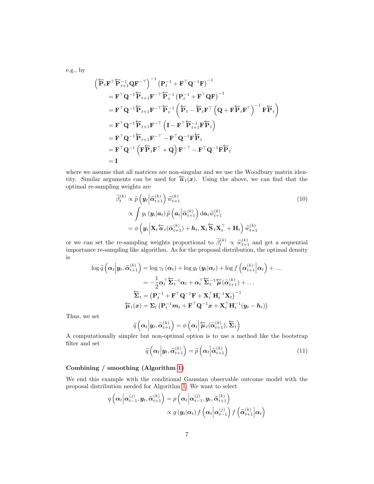e.g., by

$$
\begin{aligned}\n&\left(\overleftarrow{\mathbf{P}}_{t}\mathbf{F}^{\top}\overleftarrow{\mathbf{P}}_{t+1}^{-1}\mathbf{Q}\mathbf{F}^{-\top}\right)^{-1}\left(\mathbf{P}_{t}^{-1}+\mathbf{F}^{\top}\mathbf{Q}^{-1}\mathbf{F}\right)^{-1} \\
&= \mathbf{F}^{\top}\mathbf{Q}^{-1}\overleftarrow{\mathbf{P}}_{t+1}\mathbf{F}^{-\top}\overleftarrow{\mathbf{P}}_{t}^{-1}\left(\mathbf{P}_{t}^{-1}+\mathbf{F}^{\top}\mathbf{Q}\mathbf{F}\right)^{-1} \\
&= \mathbf{F}^{\top}\mathbf{Q}^{-1}\overleftarrow{\mathbf{P}}_{t+1}\mathbf{F}^{-\top}\overleftarrow{\mathbf{P}}_{t}^{-1}\left(\overleftarrow{\mathbf{P}}_{t}-\overleftarrow{\mathbf{P}}_{t}\mathbf{F}^{\top}\left(\mathbf{Q}+\mathbf{F}\overleftarrow{\mathbf{P}}_{t}\mathbf{F}^{\top}\right)^{-1}\mathbf{F}\overleftarrow{\mathbf{P}}_{t}\right)\right) \\
&= \mathbf{F}^{\top}\mathbf{Q}^{-1}\overleftarrow{\mathbf{P}}_{t+1}\mathbf{F}^{-\top}\left(\mathbf{I}-\mathbf{F}^{\top}\overleftarrow{\mathbf{P}}_{t+1}^{-1}\mathbf{F}\overleftarrow{\mathbf{P}}_{t}\right)\right) \\
&= \mathbf{F}^{\top}\mathbf{Q}^{-1}\overleftarrow{\mathbf{P}}_{t+1}\mathbf{F}^{-\top}-\mathbf{F}^{\top}\mathbf{Q}^{-1}\mathbf{F}\overleftarrow{\mathbf{P}}_{t} \\
&= \mathbf{F}^{\top}\mathbf{Q}^{-1}\left(\mathbf{F}\overleftarrow{\mathbf{P}}_{t}\mathbf{F}^{\top}+\mathbf{Q}\right)\mathbf{F}^{-\top}-\mathbf{F}^{\top}\mathbf{Q}^{-1}\mathbf{F}\overleftarrow{\mathbf{P}}_{t}\right) \\
&= \mathbf{I}\n\end{aligned}
$$

where we assume that all matrices are non-singular and we use the Woodbury matrix identity. Similar arguments can be used for  $\overleftarrow{a}_t(x)$ . Using the above, we can find that the optimal re-sampling weights are

<span id="page-6-1"></span>
$$
\widetilde{\beta}_{t}^{(k)} \propto \widetilde{p}\left(\mathbf{y}_{t} \middle| \widetilde{\alpha}_{t+1}^{(k)}\right) \widetilde{w}_{t+1}^{(k)} \tag{10}
$$
\n
$$
\propto \int g_{t}\left(\mathbf{y}_{i} | \mathbf{a}_{t}\right) \widetilde{p}\left(\mathbf{a}_{t} \middle| \widetilde{\alpha}_{t+1}^{(k)}\right) \mathrm{d}\mathbf{a}_{t} \widetilde{w}_{t+1}^{(k)}
$$
\n
$$
= \phi\left(\mathbf{y}_{t} \middle| \mathbf{X}_{t} \widetilde{\mathbf{a}}_{t} (\widetilde{\alpha}_{t+1}^{(k)}) + \mathbf{h}_{t}, \mathbf{X}_{t} \widetilde{\mathbf{S}}_{t} \mathbf{X}_{t}^{\top} + \mathbf{H}_{t}\right) \widetilde{w}_{t+1}^{(k)}
$$

or we can set the re-sampling weights proportional to  $\tilde{\beta}_t^{(k)} \propto \tilde{w}_{t+1}^{(k)}$  and get a sequential<br>time of a sequential discrete proportional to the second distribution the original density importance re-sampling like algorithm. As for the proposal distribution, the optimal density is

$$
\log \widetilde{q}\left(\boldsymbol{\alpha}_{t}\Big|\boldsymbol{y}_{t},\widetilde{\boldsymbol{\alpha}}_{t+1}^{(k)}\right) = \log \gamma_{t}\left(\boldsymbol{\alpha}_{t}\right) + \log g_{t}\left(\boldsymbol{y}_{t}|\boldsymbol{\alpha}_{t}\right) + \log f\left(\boldsymbol{\alpha}_{t+1}^{(k)}\Big|\boldsymbol{\alpha}_{t}\right) + \dots
$$
\n
$$
= -\frac{1}{2}\boldsymbol{\alpha}_{t}^{\top}\overleftarrow{\boldsymbol{\Sigma}}_{t}^{-1}\boldsymbol{\alpha}_{t} + \boldsymbol{\alpha}_{t}^{\top}\overleftarrow{\boldsymbol{\Sigma}}_{t}^{-1}\overleftarrow{\boldsymbol{\mu}}\left(\widetilde{\boldsymbol{\alpha}}_{t+1}^{(k)}\right) + \dots
$$
\n
$$
\overleftarrow{\boldsymbol{\Sigma}}_{t} = \left(\mathbf{P}_{t}^{-1} + \mathbf{F}^{\top}\mathbf{Q}^{-1}\mathbf{F} + \mathbf{X}_{t}^{\top}\mathbf{H}_{t}^{-1}\mathbf{X}_{t}\right)^{-1}
$$
\n
$$
\overleftarrow{\boldsymbol{\mu}}_{t}(\boldsymbol{x}) = \boldsymbol{\Sigma}_{t}\left(\mathbf{P}_{t}^{-1}\boldsymbol{m}_{t} + \mathbf{F}^{\top}\mathbf{Q}^{-1}\boldsymbol{x} + \mathbf{X}_{t}^{\top}\mathbf{H}_{t}^{-1}(\boldsymbol{y}_{t} - \boldsymbol{h}_{t})\right)
$$

Thus, we set

$$
\widetilde{q}\left(\boldsymbol{\alpha}_{t}\Big|\boldsymbol{y}_{t},\widetilde{\boldsymbol{\alpha}}_{t+1}^{(k)}\right)=\phi\left(\boldsymbol{\alpha}_{t}\Big|\overleftarrow{\boldsymbol{\mu}}_{t}(\widetilde{\boldsymbol{\alpha}}_{t+1}^{(k)}),\overleftarrow{\boldsymbol{\Sigma}}_{t}\right)
$$

A computationally simpler but non-optimal option is to use a method like the bootstrap filter and set

<span id="page-6-0"></span>
$$
\widetilde{q}\left(\boldsymbol{\alpha}_{t}\Big|\boldsymbol{y}_{t},\widetilde{\boldsymbol{\alpha}}_{t+1}^{(k)}\right)=\widetilde{p}\left(\boldsymbol{\alpha}_{t}\Big|\widetilde{\boldsymbol{\alpha}}_{t+1}^{(k)}\right)
$$
\n(11)

#### Combining / smoothing (Algorithm [1\)](#page-8-0)

We end this example with the conditional Gaussian observable outcome model with the proposal distribution needed for Algorithm [1.](#page-8-0) We want to select

$$
q\left(\alpha_{t}\middle|\alpha_{t-1}^{(j)},y_{t},\widetilde{\alpha}_{t+1}^{(k)}\right)=p\left(\alpha_{t}\middle|\alpha_{t-1}^{(j)},y_{t},\widetilde{\alpha}_{t+1}^{(k)}\right)\n\n\propto g\left(y_{t}\middle|\alpha_{t}\right)f\left(\alpha_{t}\middle|\alpha_{t-1}^{(j)}\right)f\left(\widetilde{\alpha}_{t+1}^{(k)}\middle|\alpha_{t}\right)
$$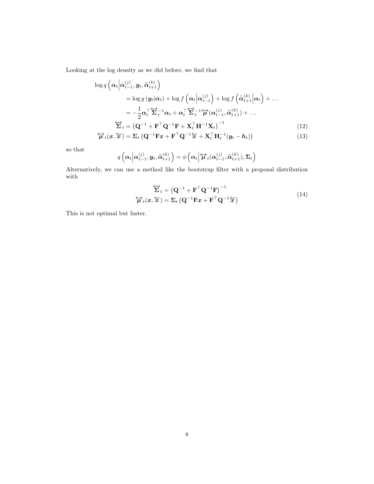Looking at the log density as we did before, we find that

$$
\log q\left(\alpha_t \middle| \alpha_{t-1}^{(j)}, y_t, \widetilde{\alpha}_{t+1}^{(k)}\right)
$$
\n
$$
= \log g\left(y_t \middle| \alpha_t\right) + \log f\left(\alpha_t \middle| \alpha_{t-1}^{(j)}\right) + \log f\left(\widetilde{\alpha}_{t+1}^{(k)} \middle| \alpha_t\right) + \dots
$$
\n
$$
= -\frac{1}{2} \alpha_t^\top \widetilde{\Sigma}_t^{-1} \alpha_t + \alpha_t^\top \widetilde{\Sigma}_t^{-1} \widetilde{\mu}(\alpha_{t-1}^{(j)}, \widetilde{\alpha}_{t+1}^{(k)}) + \dots
$$
\n
$$
\widetilde{\Sigma}_t = \left(\mathbf{Q}^{-1} + \mathbf{F}^\top \mathbf{Q}^{-1} \mathbf{F} + \mathbf{X}_t^\top \mathbf{H}^{-1} \mathbf{X}_t\right)^{-1} \tag{12}
$$
\n
$$
\widetilde{\mu}_t(\mathbf{r}, \widetilde{\mathbf{F}}) = \Sigma_t \left(\mathbf{Q}^{-1} \mathbf{F} \mathbf{r} + \mathbf{F}^\top \mathbf{Q}^{-1} \widetilde{\mathbf{F}} + \mathbf{X}^\top \mathbf{H}^{-1} (\mathbf{u}_t - \mathbf{b}_t)\right) \tag{13}
$$

$$
\overleftrightarrow{\boldsymbol{\mu}}_{t}(\boldsymbol{x}, \overleftarrow{\boldsymbol{x}}) = \boldsymbol{\Sigma}_{t} \left( \mathbf{Q}^{-1} \mathbf{F} \boldsymbol{x} + \mathbf{F}^{\top} \mathbf{Q}^{-1} \overleftarrow{\boldsymbol{x}} + \mathbf{X}_{t}^{\top} \mathbf{H}_{t}^{-1} (\boldsymbol{y}_{t} - \boldsymbol{h}_{t}) \right) \tag{13}
$$

so that

$$
q\left(\boldsymbol{\alpha}_{t}\middle|\boldsymbol{\alpha}_{t-1}^{(j)},\boldsymbol{y}_{t},\widetilde{\boldsymbol{\alpha}}_{t+1}^{(k)}\right)=\phi\left(\boldsymbol{\alpha}_{t}\middle|\overleftrightarrow{\boldsymbol{\mu}}_{t}(\boldsymbol{\alpha}_{t-1}^{(j)},\widetilde{\boldsymbol{\alpha}}_{t+1}^{(k)}),\boldsymbol{\Sigma}_{t}\right)
$$

Alternatively, we can use a method like the bootstrap filter with a proposal distribution with

<span id="page-7-2"></span><span id="page-7-1"></span>
$$
\overleftrightarrow{\mathbf{\Sigma}}_t = \left(\mathbf{Q}^{-1} + \mathbf{F}^\top \mathbf{Q}^{-1} \mathbf{F}\right)^{-1} \n\overleftrightarrow{\boldsymbol{\mu}}_t(\mathbf{x}, \overleftarrow{\mathbf{x}}) = \mathbf{\Sigma}_t \left(\mathbf{Q}^{-1} \mathbf{F} \mathbf{x} + \mathbf{F}^\top \mathbf{Q}^{-1} \overleftarrow{\mathbf{x}}\right)
$$
\n(14)

<span id="page-7-0"></span>This is not optimal but faster.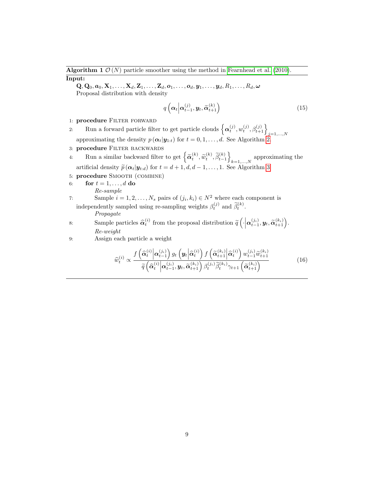<span id="page-8-0"></span>**Algorithm 1**  $\mathcal{O}(N)$  particle smoother using the method in [Fearnhead et al. \(2010\)](#page-25-3). Input:

 $\mathbf{Q}, \mathbf{Q}_0, \boldsymbol{a}_0, \mathbf{X}_1, \ldots, \mathbf{X}_d, \mathbf{Z}_1, \ldots, \mathbf{Z}_d, \boldsymbol{o}_1, \ldots, \boldsymbol{o}_d, \boldsymbol{y}_1, \ldots, \boldsymbol{y}_d, R_1, \ldots, R_d, \boldsymbol{\omega}$ Proposal distribution with density

$$
q\left(\boldsymbol{\alpha}_t \middle| \boldsymbol{\alpha}_{t-1}^{(j)}, \boldsymbol{y}_t, \widetilde{\boldsymbol{\alpha}}_{t+1}^{(k)}\right) \tag{15}
$$

1: procedure FILTER FORWARD

- 2: Run a forward particle filter to get particle clouds  $\left\{ \alpha_t^{(j)}, w_t^{(j)}, \beta_{t+1}^{(j)} \right\}_{j=1,\ldots,N}$ <br>approximating the density  $p(\alpha_t | \mathbf{y}_{1:t})$  for  $t = 0, 1, \ldots, d$ . See Algorithm [2.](#page-9-0)
- 3: procedure FILTER BACKWARDS
- 4: Run a similar backward filter to get  $\left\{ \widetilde{\alpha}_{t}^{(k)}, \widetilde{w}_{t}^{(k)}, \widetilde{\beta}_{t-1}^{(k)} \right\}$  $_{k=1,...,N}$  approximating the artificial density  $\widetilde{p}(\boldsymbol{\alpha}_t|\boldsymbol{y}_{t:d})$  for  $t = d + 1, d, d - 1, \dots, 1$ . See Algorithm [3.](#page-10-0)
- 5: procedure Smooth (combine)

6: **for** 
$$
t = 1, ..., d
$$
 **do**  
*Re-sample*

7: Sample  $i = 1, 2, ..., N_s$  pairs of  $(j_i, k_i) \in N^2$  where each component is independently sampled using re-sampling weights  $\beta_t^{(j)}$  and  $\tilde{\beta}_t^{(k)}$ .

*Propagate*

- 8: Sample particles  $\widehat{\alpha}_t^{(i)}$  from the proposal distribution  $\widetilde{q}\left(\cdot \middle|\boldsymbol{\alpha}_{t-1}^{(j_i)}, \boldsymbol{y}_t, \widetilde{\boldsymbol{\alpha}}_{t+1}^{(k_i)}\right)$ . *Re-weight*
- 9: Assign each particle a weight

<span id="page-8-1"></span>
$$
\widehat{w}_{t}^{(i)} \propto \frac{f\left(\widehat{\alpha}_{t}^{(i)}\middle|\alpha_{t-1}^{(j_i)}\right)g_{t}\left(\mathbf{y}_{t}\middle|\widehat{\alpha}_{t}^{(i)}\right)f\left(\widetilde{\alpha}_{t+1}^{(k_i)}\middle|\widehat{\alpha}_{t}^{(i)}\right)w_{t-1}^{(j_i)}\widetilde{w}_{t+1}^{(k_i)}}{\widetilde{q}\left(\widehat{\alpha}_{t}^{(i)}\middle|\alpha_{t-1}^{(j_i)},\mathbf{y}_{t},\widetilde{\alpha}_{t+1}^{(k_i)}\right)\beta_{t}^{(j_i)}\widetilde{\beta}_{t}^{(k_i)}\gamma_{t+1}\left(\widetilde{\alpha}_{t+1}^{(k_i)}\right)}
$$
\n(16)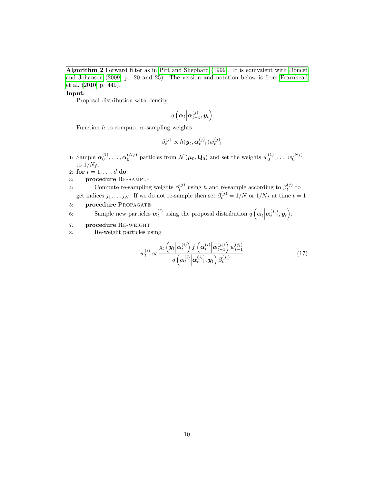<span id="page-9-0"></span>Algorithm 2 Forward filter as in [Pitt and Shephard \(1999\)](#page-26-0). It is equivalent with [Doucet](#page-25-0) [and Johansen \(2009,](#page-25-0) p. 20 and 25). The version and notation below is from [Fearnhead](#page-25-3) [et al. \(2010,](#page-25-3) p. 449).

#### Input:

Proposal distribution with density

$$
q\left(\boldsymbol{\alpha}_{t}\Big|\boldsymbol{\alpha}_{t-1}^{(j)},\boldsymbol{y}_{t}\right)
$$

Function  $h$  to compute re-sampling weights

$$
\beta_t^{(j)} \propto h(\boldsymbol{y}_t,\boldsymbol{\alpha}_{t-1}^{(j)})w_{t-1}^{(j)}
$$

1: Sample  $\alpha_0^{(1)}, \ldots, \alpha_0^{(N_f)}$  particles from  $\mathcal{N}(\mu_0, \mathbf{Q}_0)$  and set the weights  $w_0^{(1)}, \ldots, w_0^{(N_f)}$ to  $1/N_f$ .

2: for  $t = 1, \ldots, d$  do

3: procedure Re-sample

4: Compute re-sampling weights  $\beta_t^{(j)}$  using h and re-sample according to  $\beta_t^{(j)}$  to get indices  $j_1, \ldots j_N$ . If we do not re-sample then set  $\beta_t^{(j)} = 1/N$  or  $1/N_f$  at time  $t = 1$ .

5: **procedure** PROPAGATE

6: Sample new particles  $\alpha_t^{(i)}$  using the proposal distribution  $q\left(\alpha_t\middle|\alpha_{t-1}^{(j_i)},y_t\right)$ .

- 7: procedure Re-weight
- 8: Re-weight particles using

<span id="page-9-1"></span>
$$
w_t^{(i)} \propto \frac{g_t\left(\mathbf{y}_t\middle|\mathbf{\alpha}_t^{(i)}\right) f\left(\mathbf{\alpha}_t^{(i)}\middle|\mathbf{\alpha}_{t-1}^{(j_i)}\right) w_{t-1}^{(j_i)}}{q\left(\mathbf{\alpha}_t^{(i)}\middle|\mathbf{\alpha}_{t-1}^{(j_i)}, \mathbf{y}_t\right) \beta_t^{(j_i)}}\tag{17}
$$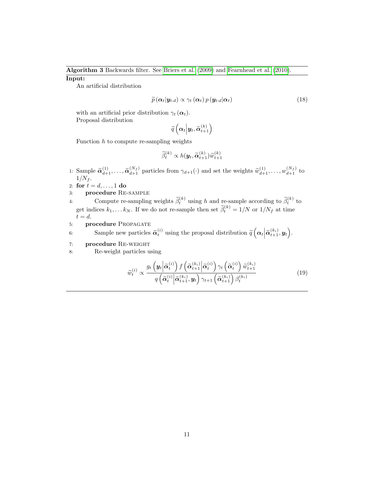# <span id="page-10-0"></span>Algorithm 3 Backwards filter. See [Briers et al. \(2009\)](#page-25-4) and [Fearnhead et al. \(2010\)](#page-25-3).

### Input:

An artificial distribution

$$
\widetilde{p}(\boldsymbol{\alpha}_t|\boldsymbol{y}_{t:d}) \propto \gamma_t(\boldsymbol{\alpha}_t) p(\boldsymbol{y}_{t:d}|\boldsymbol{\alpha}_t)
$$
\n(18)

with an artificial prior distribution  $\gamma_t(\alpha_t)$ . Proposal distribution

$$
\widetilde{q}\left(\boldsymbol{\alpha}_{t}\Big|\boldsymbol{y}_{t},\widetilde{\boldsymbol{\alpha}}_{t+1}^{(k)}\right)
$$

Function  $h$  to compute re-sampling weights

$$
\widetilde{\beta}_t^{(k)} \propto h(\boldsymbol{y}_t, \widetilde{\boldsymbol{\alpha}}_{t+1}^{(k)}) \widetilde{w}_{t+1}^{(k)}
$$

1: Sample  $\widetilde{\alpha}_{d+1}^{(1)}, \ldots, \widetilde{\alpha}_{d+1}^{(N_f)}$  particles from  $\gamma_{d+1}(\cdot)$  and set the weights  $\widetilde{w}_{d+1}^{(1)}, \ldots, w_{d+1}^{(N_f)}$  to  $1/N_f$ .

2: for  $t = d, ..., 1$  do

- 3: procedure Re-sample
- 4: Compute re-sampling weights  $\tilde{\beta}_t^{(k)}$  using h and re-sample according to  $\tilde{\beta}_t^{(k)}$  to get indices  $k_1, \ldots k_N$ . If we do not re-sample then set  $\tilde{\beta}_t^{(k)} = 1/N$  or  $1/N_f$  at time  $t = d$ .
- 5: **procedure PROPAGATE**

6: Sample new particles  $\tilde{\alpha}_t^{(i)}$  using the proposal distribution  $\tilde{q} \left( \alpha_t \middle| \tilde{\alpha}_{t+1}^{(k_i)}, y_t \right)$ .

- 7: procedure Re-weight
- 8: Re-weight particles using

<span id="page-10-1"></span>
$$
\widetilde{w}_{t}^{(i)} \propto \frac{g_{t}\left(\mathbf{y}_{t}\left|\widetilde{\boldsymbol{\alpha}}_{t}^{(i)}\right) f\left(\widetilde{\boldsymbol{\alpha}}_{t+1}^{(k_{i})}\left|\widetilde{\boldsymbol{\alpha}}_{t}^{(i)}\right.\right)\gamma_{t}\left(\widetilde{\boldsymbol{\alpha}}_{t}^{(i)}\right) \widetilde{w}_{t+1}^{(k_{i})}}{q\left(\widetilde{\boldsymbol{\alpha}}_{t}^{(i)}\left|\widetilde{\boldsymbol{\alpha}}_{t+1}^{(k_{i})}, \mathbf{y}_{t}\right.\right)\gamma_{t+1}\left(\widetilde{\boldsymbol{\alpha}}_{t+1}^{(k_{i})}\right)\beta_{t}^{(k_{i})}}\tag{19}
$$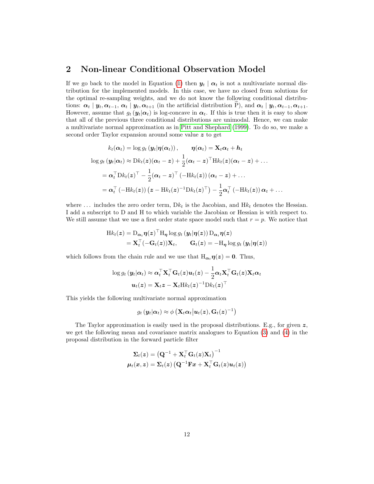# <span id="page-11-0"></span>2 Non-linear Conditional Observation Model

If we go back to the model in Equation [\(1\)](#page-0-0) then  $y_t | \alpha_t$  is not a multivariate normal distribution for the implemented models. In this case, we have no closed from solutions for the optimal re-sampling weights, and we do not know the following conditional distributions:  $\alpha_t | y_t, \alpha_{t-1}, \alpha_t | y_t, \alpha_{t+1}$  (in the artificial distribution P), and  $\alpha_t | y_t, \alpha_{t-1}, \alpha_{t+1}$ . However, assume that  $g_t(\mathbf{y}_t|\alpha_t)$  is log-concave in  $\alpha_t$ . If this is true then it is easy to show that all of the previous three conditional distributions are unimodal. Hence, we can make a multivariate normal approximation as in [Pitt and Shephard \(1999\)](#page-26-0). To do so, we make a second order Taylor expansion around some value z to get

$$
k_t(\boldsymbol{\alpha}_t) = \log g_t(\boldsymbol{y}_t | \boldsymbol{\eta}(\boldsymbol{\alpha}_t)), \qquad \boldsymbol{\eta}(\boldsymbol{\alpha}_t) = \mathbf{X}_t \boldsymbol{\alpha}_t + \boldsymbol{h}_t
$$
  

$$
\log g_t(\boldsymbol{y}_t | \boldsymbol{\alpha}_t) \approx \mathrm{D}k_t(\boldsymbol{z}) (\boldsymbol{\alpha}_t - \boldsymbol{z}) + \frac{1}{2} (\boldsymbol{\alpha}_t - \boldsymbol{z})^\top \mathrm{H}k_t(\boldsymbol{z}) (\boldsymbol{\alpha}_t - \boldsymbol{z}) + \dots
$$
  

$$
= \boldsymbol{\alpha}_t^\top \mathrm{D}k_t(\boldsymbol{z})^\top - \frac{1}{2} (\boldsymbol{\alpha}_t - \boldsymbol{z})^\top (-\mathrm{H}k_t(\boldsymbol{z})) (\boldsymbol{\alpha}_t - \boldsymbol{z}) + \dots
$$
  

$$
= \boldsymbol{\alpha}_t^\top (-\mathrm{H}k_t(\boldsymbol{z})) (\boldsymbol{z} - \mathrm{H}k_t(\boldsymbol{z})^{-1} \mathrm{D}k_t(\boldsymbol{z})^\top) - \frac{1}{2} \boldsymbol{\alpha}_t^\top (-\mathrm{H}k_t(\boldsymbol{z})) \boldsymbol{\alpha}_t + \dots
$$

where  $\dots$  includes the zero order term,  $Dk_t$  is the Jacobian, and  $Hk_t$  denotes the Hessian. I add a subscript to D and H to which variable the Jacobian or Hessian is with respect to. We still assume that we use a first order state space model such that  $r = p$ . We notice that

$$
\mathrm{H}k_t(z) = \mathrm{D}_{\boldsymbol{\alpha}_t}\boldsymbol{\eta}(z)^{\top}\mathrm{H}_{\boldsymbol{\eta}}\log g_t\left(y_t|\boldsymbol{\eta}(z)\right)\mathrm{D}_{\boldsymbol{\alpha}_t}\boldsymbol{\eta}(z) \n= \mathbf{X}_t^{\top}(-\mathbf{G}_t(z))\mathbf{X}_t, \qquad \mathbf{G}_t(z) = -\mathrm{H}_{\boldsymbol{\eta}}\log g_t\left(y_t|\boldsymbol{\eta}(z)\right)
$$

which follows from the chain rule and we use that  $H_{\alpha_t}\eta(z) = 0$ . Thus,

$$
\begin{aligned} \log g_t \left( \boldsymbol{y}_t | \boldsymbol{\alpha}_t \right) &\approx \boldsymbol{\alpha}_t^\top \mathbf{X}_t^\top \mathbf{G}_t(z) \boldsymbol{u}_t(z) - \frac{1}{2} \boldsymbol{\alpha}_t \mathbf{X}_t^\top \mathbf{G}_t(z) \mathbf{X}_t \boldsymbol{\alpha}_t \\ \boldsymbol{u}_t(z) &= \mathbf{X}_t z - \mathbf{X}_t \text{H} k_t(z)^{-1} \text{D} k_t(z)^\top \end{aligned}
$$

This yields the following multivariate normal approximation

$$
g_t\left(\mathbf{y}_t\middle|\boldsymbol{\alpha}_t\right) \approx \phi\left(\mathbf{X}_t\boldsymbol{\alpha}_t\middle|\boldsymbol{u}_t\left(\boldsymbol{z}\right),\mathbf{G}_t\left(\boldsymbol{z}\right)^{-1}\right)
$$

The Taylor approximation is easily used in the proposal distributions. E.g., for given  $z$ , we get the following mean and covariance matrix analogues to Equation [\(3\)](#page-4-1) and [\(4\)](#page-4-2) in the proposal distribution in the forward particle filter

$$
\begin{aligned} \boldsymbol{\Sigma}_t(\boldsymbol{z}) &= \left(\mathbf{Q}^{-1} + \mathbf{X}_t^\top \mathbf{G}_t(\boldsymbol{z}) \mathbf{X}_t\right)^{-1} \\ \boldsymbol{\mu}_t(\boldsymbol{x}, \boldsymbol{z}) &= \boldsymbol{\Sigma}_t(\boldsymbol{z}) \left(\mathbf{Q}^{-1} \mathbf{F} \boldsymbol{x} + \mathbf{X}_t^\top \mathbf{G}_t(\boldsymbol{z}) \boldsymbol{u}_t(\boldsymbol{z})\right) \end{aligned}
$$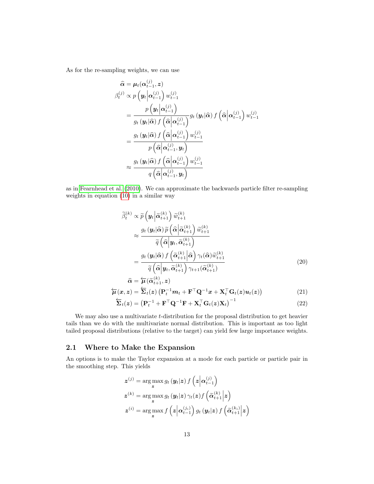As for the re-sampling weights, we can use

$$
\hat{\alpha} = \mu_t(\alpha_{t-1}^{(j)}, z)
$$
\n
$$
\beta_t^{(j)} \propto p\left(\mathbf{y}_t \middle| \alpha_{t-1}^{(j)}\right) w_{t-1}^{(j)}
$$
\n
$$
= \frac{p\left(\mathbf{y}_t \middle| \alpha_{t-1}^{(j)}\right) w_{t-1}^{(j)}}{g_t\left(\mathbf{y}_t \middle| \hat{\alpha}\right) f\left(\hat{\alpha} \middle| \alpha_{t-1}^{(j)}\right)} g_t\left(\mathbf{y}_t \middle| \hat{\alpha}\right) f\left(\hat{\alpha} \middle| \alpha_{t-1}^{(j)}\right) w_{t-1}^{(j)}
$$
\n
$$
= \frac{g_t\left(\mathbf{y}_t \middle| \hat{\alpha}\right) f\left(\hat{\alpha} \middle| \alpha_{t-1}^{(j)}\right) w_{t-1}^{(j)}}{p\left(\hat{\alpha} \middle| \alpha_{t-1}^{(j)}, \mathbf{y}_t\right)}
$$
\n
$$
\approx \frac{g_t\left(\mathbf{y}_t \middle| \hat{\alpha}\right) f\left(\hat{\alpha} \middle| \alpha_{t-1}^{(j)}\right) w_{t-1}^{(j)}}{q\left(\hat{\alpha} \middle| \alpha_{t-1}^{(j)}, \mathbf{y}_t\right)}
$$

as in [Fearnhead et al. \(2010\)](#page-25-3). We can approximate the backwards particle filter re-sampling weights in equation [\(10\)](#page-6-1) in a similar way

$$
\widetilde{\beta}_{t}^{(k)} \propto \widetilde{p}\left(\mathbf{y}_{t} \middle| \widetilde{\alpha}_{t+1}^{(k)}\right) \widetilde{w}_{t+1}^{(k)} \n\approx \frac{g_{t}\left(\mathbf{y}_{t} \middle| \widehat{\alpha}\right) \widetilde{p}\left(\widehat{\alpha} \middle| \widetilde{\alpha}_{t+1}^{(k)}\right) \widetilde{w}_{t+1}^{(k)} \n\approx \frac{\widetilde{q}\left(\widehat{\alpha} \middle| \mathbf{y}_{t}, \widetilde{\alpha}_{t+1}^{(k)}\right)}{\widetilde{q}\left(\widehat{\alpha} \middle| \mathbf{y}_{t}, \widetilde{\alpha}_{t+1}^{(k)}\right)} \n= \frac{g_{t}\left(\mathbf{y}_{t} \middle| \widehat{\alpha}\right) f\left(\widetilde{\alpha}_{t+1}^{(k)} \middle| \widehat{\alpha}\right) \gamma_{t}(\widehat{\alpha}) \widetilde{w}_{t+1}^{(k)} \n\widetilde{q}\left(\widehat{\alpha} \middle| \mathbf{y}_{t}, \widetilde{\alpha}_{t+1}^{(k)}\right) \gamma_{t+1}(\widetilde{\alpha}_{t+1}^{(k)})} \tag{20}
$$
\n
$$
\widehat{\alpha} = \overleftarrow{\mu}(\widetilde{\alpha}_{t+1}^{(k)}, \mathbf{z})
$$

$$
\overleftarrow{\boldsymbol{\mu}}(\boldsymbol{x}, \boldsymbol{z}) = \overleftarrow{\boldsymbol{\Sigma}}_t(\boldsymbol{z}) \left( \mathbf{P}_t^{-1} \boldsymbol{m}_t + \mathbf{F}^\top \mathbf{Q}^{-1} \boldsymbol{x} + \mathbf{X}_t^\top \mathbf{G}_t(\boldsymbol{z}) \boldsymbol{u}_t(\boldsymbol{z}) \right) \tag{21}
$$

<span id="page-12-1"></span><span id="page-12-0"></span>
$$
\overleftarrow{\mathbf{\Sigma}}_t(z) = \left(\mathbf{P}_t^{-1} + \mathbf{F}^\top \mathbf{Q}^{-1} \mathbf{F} + \mathbf{X}_t^\top \mathbf{G}_t(z) \mathbf{X}_t\right)^{-1} \tag{22}
$$

We may also use a multivariate  $t$ -distribution for the proposal distribution to get heavier tails than we do with the multivariate normal distribution. This is important as too light tailed proposal distributions (relative to the target) can yield few large importance weights.

### 2.1 Where to Make the Expansion

An options is to make the Taylor expansion at a mode for each particle or particle pair in the smoothing step. This yields

$$
z^{(j)} = \arg \max_{z} g_t(y_t|z) f(z|\alpha_{t-1}^{(j)})
$$
  
\n
$$
z^{(k)} = \arg \max_{z} g_t(y_t|z) \gamma_t(z) f(\widetilde{\alpha}_{t+1}^{(k)}|z)
$$
  
\n
$$
z^{(i)} = \arg \max_{z} f(z|\alpha_{t-1}^{(j_i)}) g_t(y_t|z) f(\widetilde{\alpha}_{t+1}^{(k_i)}|z)
$$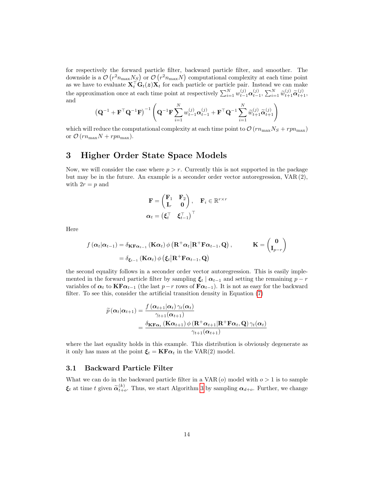for respectively the forward particle filter, backward particle filter, and smoother. The downside is a  $\mathcal{O}(r^2 n_{\max} N_S)$  or  $\mathcal{O}(r^2 n_{\max} N)$  computational complexity at each time point as we have to evaluate  $X_t^{\top} G_t(z) X_t$  for each particle or particle pair. Instead we can make the approximation once at each time point at respectively  $\sum_{i=1}^{N} w_{t-1}^{(j)} \alpha_{t-1}^{(j)}$ ,  $\sum_{i=1}^{N} \widetilde{w}_{t+1}^{(j)} \widetilde{\alpha}_{t+1}^{(j)}$ , and

$$
\left(\mathbf{Q}^{-1}+\mathbf{F}^{\top}\mathbf{Q}^{-1}\mathbf{F}\right)^{-1}\left(\mathbf{Q}^{-1}\mathbf{F}\sum_{i=1}^{N}w_{t-1}^{(j)}\boldsymbol{\alpha}_{t-1}^{(j)}+\mathbf{F}^{\top}\mathbf{Q}^{-1}\sum_{i=1}^{N}\widetilde{w}_{t+1}^{(j)}\widetilde{\boldsymbol{\alpha}}_{t+1}^{(j)}\right)
$$

which will reduce the computational complexity at each time point to  $\mathcal{O}(rn_{\text{max}}N_S + rpn_{\text{max}})$ or  $\mathcal{O}(rn_{\text{max}}N + rpn_{\text{max}})$ .

## 3 Higher Order State Space Models

Now, we will consider the case where  $p > r$ . Currently this is not supported in the package but may be in the future. An example is a seconder order vector autoregression, VAR (2), with  $2r = p$  and

$$
\mathbf{F} = \begin{pmatrix} \mathbf{F}_1 & \mathbf{F}_2 \\ \mathbf{I}_r & \mathbf{0} \end{pmatrix}, \quad \mathbf{F}_i \in \mathbb{R}^{r \times r}
$$

$$
\boldsymbol{\alpha}_t = \begin{pmatrix} \boldsymbol{\xi}_t^\top & \boldsymbol{\xi}_{t-1}^\top \end{pmatrix}^\top
$$

Here

$$
f(\alpha_t|\alpha_{t-1}) = \delta_{\mathbf{K} \mathbf{F} \alpha_{t-1}} (\mathbf{K} \alpha_t) \phi (\mathbf{R}^+ \alpha_t | \mathbf{R}^+ \mathbf{F} \alpha_{t-1}, \mathbf{Q}), \qquad \mathbf{K} = \begin{pmatrix} \mathbf{0} \\ \mathbf{I}_{p-r} \end{pmatrix}
$$
  
=  $\delta_{\xi_{t-1}} (\mathbf{K} \alpha_t) \phi (\xi_t | \mathbf{R}^+ \mathbf{F} \alpha_{t-1}, \mathbf{Q})$ 

the second equality follows in a seconder order vector autoregression. This is easily implemented in the forward particle filter by sampling  $\xi_t | \alpha_{t-1}$  and setting the remaining  $p - r$ variables of  $\alpha_t$  to  $\text{KF}\alpha_{t-1}$  (the last  $p-r$  rows of  $\text{F}\alpha_{t-1}$ ). It is not as easy for the backward filter. To see this, consider the artificial transition density in Equation [\(7\)](#page-5-0)

$$
\widetilde{p}(\alpha_t|\alpha_{t+1}) = \frac{f(\alpha_{t+1}|\alpha_t) \gamma_t(\alpha_t)}{\gamma_{t+1}(\alpha_{t+1})}
$$
\n
$$
= \frac{\delta_{\mathbf{K} \mathbf{F} \alpha_t} (\mathbf{K} \alpha_{t+1}) \phi(\mathbf{R}^+ \alpha_{t+1} | \mathbf{R}^+ \mathbf{F} \alpha_t, \mathbf{Q}) \gamma_t(\alpha_t)}{\gamma_{t+1}(\alpha_{t+1})}
$$

where the last equality holds in this example. This distribution is obviously degenerate as it only has mass at the point  $\xi_t = \mathbf{K} \mathbf{F} \alpha_t$  in the VAR(2) model.

#### 3.1 Backward Particle Filter

What we can do in the backward particle filter in a  $VAR (o)$  model with  $o > 1$  is to sample  $\xi_t$  at time t given  $\widetilde{\alpha}_{t+o}^{(k)}$ . Thus, we start Algorithm [3](#page-10-0) by sampling  $\alpha_{d+o}$ . Further, we change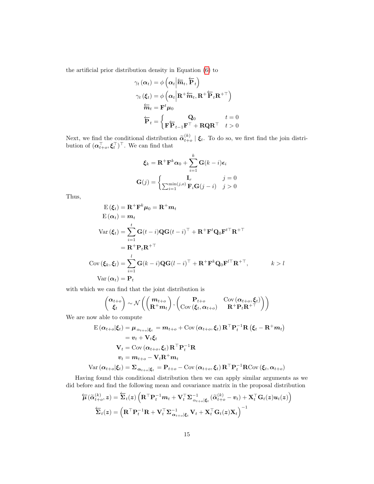the artificial prior distribution density in Equation [\(6\)](#page-5-1) to

$$
\gamma_t(\alpha_t) = \phi\left(\alpha_t \middle| \overleftarrow{m}_t, \overleftarrow{P}_t\right)\n\n\gamma_t(\xi_t) = \phi\left(\alpha_t \middle| \mathbf{R}^+ \overleftarrow{m}_t, \mathbf{R}^+ \overleftarrow{P}_t \mathbf{R}^{+\top}\right)\n\n\overleftarrow{m}_t = \mathbf{F}^t \mu_0\n\n\overleftarrow{P}_t = \begin{cases}\n\mathbf{Q}_0 & t = 0 \\
\mathbf{F} \overleftarrow{P}_{t-1} \mathbf{F}^\top + \mathbf{R} \mathbf{Q} \mathbf{R}^\top & t > 0\n\end{cases}
$$

Next, we find the conditional distribution  $\tilde{\alpha}_{t+o}^{(k)} | \xi_t$ . To do so, we first find the join distribution of  $(\boldsymbol{\alpha}_{t+o}^{\top}, \boldsymbol{\xi}_t^{\top})^{\top}$ . We can find that

$$
\boldsymbol{\xi}_k = \mathbf{R}^+ \mathbf{F}^k \boldsymbol{\alpha}_0 + \sum_{i=1}^k \mathbf{G}(k-i) \boldsymbol{\epsilon}_i
$$

$$
\mathbf{G}(j) = \begin{cases} \mathbf{I}_r & j=0\\ \sum_{i=1}^{\min(j,o)} \mathbf{F}_i \mathbf{G}(j-i) & j>0 \end{cases}
$$

Thus,

$$
E(\xi_t) = \mathbf{R}^+ \mathbf{F}^k \mu_0 = \mathbf{R}^+ m_t
$$
  
\n
$$
E(\alpha_t) = m_t
$$
  
\n
$$
Var(\xi_t) = \sum_{i=1}^t \mathbf{G}(t-i) \mathbf{Q} \mathbf{G}(t-i)^\top + \mathbf{R}^+ \mathbf{F}^t \mathbf{Q}_0 \mathbf{F}^{t\top} \mathbf{R}^{+\top}
$$
  
\n
$$
= \mathbf{R}^+ \mathbf{P}_t \mathbf{R}^{+\top}
$$
  
\n
$$
Cov(\xi_k, \xi_l) = \sum_{i=1}^l \mathbf{G}(k-i) \mathbf{Q} \mathbf{G}(l-i)^\top + \mathbf{R}^+ \mathbf{F}^k \mathbf{Q}_0 \mathbf{F}^{l\top} \mathbf{R}^{+\top}, \qquad k > l
$$
  
\n
$$
Var(\alpha_t) = \mathbf{P}_t
$$

with which we can find that the joint distribution is

$$
\begin{pmatrix} \alpha_{t+o} \\ \xi_t \end{pmatrix} \sim \mathcal{N} \left( \begin{pmatrix} m_{t+o} \\ R^+ m_t \end{pmatrix}, \begin{pmatrix} P_{t+o} & \text{Cov}(\alpha_{t+o}, \xi_t) \\ \text{Cov}(\xi_t, \alpha_{t+o}) & R^+ P_t R^{+\top} \end{pmatrix} \right)
$$

We are now able to compute

$$
\begin{aligned} \mathbf{E}\left(\alpha_{t+o}|\xi_{t}\right) &= \mu_{\alpha_{t+o}|\xi_{t}} = m_{t+o} + \text{Cov}\left(\alpha_{t+o}, \xi_{t}\right) \mathbf{R}^{\top} \mathbf{P}_{t}^{-1} \mathbf{R}\left(\xi_{t} - \mathbf{R}^{+} m_{t}\right) \\ &= v_{t} + \mathbf{V}_{t} \xi_{t} \\ \mathbf{V}_{t} &= \text{Cov}\left(\alpha_{t+o}, \xi_{t}\right) \mathbf{R}^{\top} \mathbf{P}_{t}^{-1} \mathbf{R} \\ v_{t} &= m_{t+o} - \mathbf{V}_{t} \mathbf{R}^{+} m_{t} \end{aligned}
$$

$$
\text{Var}(\alpha_{t+o}|\xi_t) = \sum_{\alpha_{t+o}|\xi_t} = \mathbf{P}_{t+o} - \text{Cov}(\alpha_{t+o}, \xi_t) \mathbf{R}^\top \mathbf{P}_t^{-1} \mathbf{R} \text{Cov}(\xi_t, \alpha_{t+o})
$$

Having found this conditional distribution then we can apply similar arguments as we did before and find the following mean and covariance matrix in the proposal distribution

$$
\begin{aligned} \overleftarrow{\boldsymbol{\mu}}(\widetilde{\boldsymbol{\alpha}}_{t+o}^{(k)},\boldsymbol{z}) & = \overleftarrow{\boldsymbol{\Sigma}}_{t}(\boldsymbol{z})\left(\mathbf{R}^{\top}\mathbf{P}_{t}^{-1}\boldsymbol{m}_{t} + \mathbf{V}_{t}^{\top}\boldsymbol{\Sigma}_{\alpha_{t+o}|\boldsymbol{\xi}_{t}}^{-1}(\widetilde{\boldsymbol{\alpha}}_{t+o}^{(k)} - \boldsymbol{v}_{t}) + \mathbf{X}_{t}^{\top}\mathbf{G}_{t}(\boldsymbol{z})\boldsymbol{u}_{t}(\boldsymbol{z})\right) \\ \overleftarrow{\boldsymbol{\Sigma}}_{t}(\boldsymbol{z}) & = \left(\mathbf{R}^{\top}\mathbf{P}_{t}^{-1}\mathbf{R} + \mathbf{V}_{t}^{\top}\boldsymbol{\Sigma}_{\alpha_{t+o}|\boldsymbol{\xi}_{t}}^{-1}\mathbf{V}_{t} + \mathbf{X}_{t}^{\top}\mathbf{G}_{t}(\boldsymbol{z})\mathbf{X}_{t}\right)^{-1} \end{aligned}
$$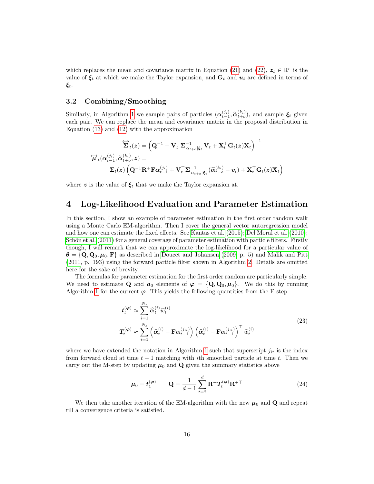which replaces the mean and covariance matrix in Equation [\(21\)](#page-12-0) and [\(22\)](#page-12-1),  $z_t \in \mathbb{R}^r$  is the value of  $\xi_t$  at which we make the Taylor expansion, and  $G_t$  and  $u_t$  are defined in terms of  $\boldsymbol{\xi}_t.$ 

### 3.2 Combining/Smoothing

Similarly, in Algorithm [1](#page-8-0) we sample pairs of particles  $(\alpha_{t-1}^{(j_i)}, \tilde{\alpha}_{t+o}^{(k_i)})$ , and sample  $\xi_t$  given each pair. We can replace the mean and covariance matrix in the proposal distribution in Equation [\(13\)](#page-7-1) and [\(12\)](#page-7-2) with the approximation

$$
\overleftrightarrow{\mathbf{\Sigma}}_t(z) = \left(\mathbf{Q}^{-1} + \mathbf{V}_t^\top\mathbf{\Sigma}_{\alpha_{t+o}|\boldsymbol{\xi}_t}^{-1}\mathbf{V}_t + \mathbf{X}_t^\top\mathbf{G}_t(z)\mathbf{X}_t\right)^{-1} \n\overleftrightarrow{\boldsymbol{\mu}}_t(\boldsymbol{\alpha}_{t-1}^{(j_i)}, \widetilde{\boldsymbol{\alpha}}_{t+o}^{(k_i)}, \boldsymbol{z}) = \n\mathbf{\Sigma}_t(z) \left(\mathbf{Q}^{-1}\mathbf{R}^+\mathbf{F}\boldsymbol{\alpha}_{t-1}^{(j_i)} + \mathbf{V}_t^\top\mathbf{\Sigma}_{\alpha_{t+o}|\boldsymbol{\xi}_t}^{-1}(\widetilde{\boldsymbol{\alpha}}_{t+o}^{(k_i)} - \boldsymbol{v}_t) + \mathbf{X}_t^\top\mathbf{G}_t(z)\mathbf{X}_t\right)
$$

where z is the value of  $\xi_t$  that we make the Taylor expansion at.

# 4 Log-Likelihood Evaluation and Parameter Estimation

In this section, I show an example of parameter estimation in the first order random walk using a Monte Carlo EM-algorithm. Then I cover the general vector autoregression model and how one can estimate the fixed effects. See [Kantas et al. \(2015\)](#page-25-1); [Del Moral et al. \(2010\)](#page-25-8); Schön et al.  $(2011)$  for a general coverage of parameter estimation with particle filters. Firstly though, I will remark that we can approximate the log-likelihood for a particular value of  $\theta = {\bf Q}, {\bf Q}_0, \mu_0, {\bf F}$  as described in [Doucet and Johansen \(2009,](#page-25-0) p. 5) and [Malik and Pitt](#page-26-2) [\(2011,](#page-26-2) p. 193) using the forward particle filter shown in Algorithm [2.](#page-9-0) Details are omitted here for the sake of brevity.

The formulas for parameter estimation for the first order random are particularly simple. We need to estimate Q and  $a_0$  elements of  $\varphi = {\bf Q}, {\bf Q}_0, {\boldsymbol{\mu}}_0$ . We do this by running Algorithm [1](#page-8-0) for the current  $\varphi$ . This yields the following quantities from the E-step

$$
t_t^{(\varphi)} \approx \sum_{i=1}^{N_s} \hat{\alpha}_t^{(i)} \hat{w}_t^{(i)}
$$
  

$$
T_t^{(\varphi)} \approx \sum_{i=1}^{N_s} \left( \hat{\alpha}_t^{(i)} - \mathbf{F} \alpha_{t-1}^{(j_{it})} \right) \left( \hat{\alpha}_t^{(i)} - \mathbf{F} \alpha_{t-1}^{(j_{it})} \right)^\top \hat{w}_t^{(i)}
$$
(23)

where we have extended the notation in Algorithm [1](#page-8-0) such that superscript  $j_{it}$  is the index from forward cloud at time  $t-1$  matching with ith smoothed particle at time t. Then we carry out the M-step by updating  $\mu_0$  and Q given the summary statistics above

$$
\boldsymbol{\mu}_0 = \boldsymbol{t}_1^{(\boldsymbol{\varphi})} \qquad \mathbf{Q} = \frac{1}{d-1} \sum_{t=2}^d \mathbf{R}^+ \boldsymbol{T}_t^{(\boldsymbol{\varphi})} \mathbf{R}^{+\top} \tag{24}
$$

We then take another iteration of the EM-algorithm with the new  $\mu_0$  and Q and repeat till a convergence criteria is satisfied.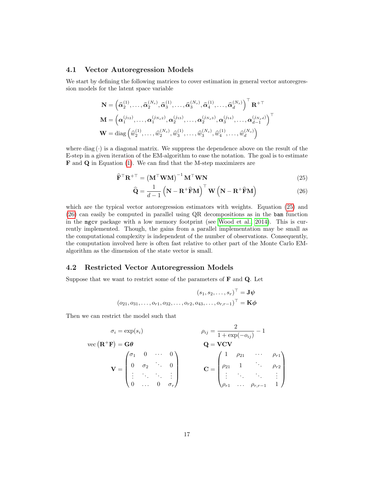#### <span id="page-16-2"></span>4.1 Vector Autoregression Models

We start by defining the following matrices to cover estimation in general vector autoregression models for the latent space variable

$$
\mathbf{N} = \left(\widehat{\alpha}_2^{(1)}, \ldots, \widehat{\alpha}_2^{(N_s)}, \widehat{\alpha}_3^{(1)}, \ldots, \widehat{\alpha}_3^{(N_s)}, \widehat{\alpha}_4^{(1)}, \ldots, \widehat{\alpha}_d^{(N_s)}\right)^{\top} \mathbf{R}^{+\top}
$$
  

$$
\mathbf{M} = \left(\alpha_1^{(j_{12})}, \ldots, \alpha_1^{(j_{N_s2})}, \alpha_2^{(j_{13})}, \ldots, \alpha_2^{(j_{N_s3})}, \alpha_3^{(j_{14})}, \ldots, \alpha_{d-1}^{(j_{N_sd})}\right)^{\top}
$$
  

$$
\mathbf{W} = \text{diag}\left(\widehat{w}_2^{(1)}, \ldots, \widehat{w}_2^{(N_s)}, \widehat{w}_3^{(1)}, \ldots, \widehat{w}_3^{(N_s)}, \widehat{w}_4^{(1)}, \ldots, \widehat{w}_d^{(N_s)}\right)
$$

where diag  $(\cdot)$  is a diagonal matrix. We suppress the dependence above on the result of the E-step in a given iteration of the EM-algorithm to ease the notation. The goal is to estimate F and Q in Equation [\(1\)](#page-0-0). We can find that the M-step maximizers are

$$
\widehat{\mathbf{F}}^{\top} \mathbf{R}^{+\top} = \left(\mathbf{M}^{\top} \mathbf{W} \mathbf{M}\right)^{-1} \mathbf{M}^{\top} \mathbf{W} \mathbf{N}
$$
\n(25)

<span id="page-16-1"></span><span id="page-16-0"></span>
$$
\widehat{\mathbf{Q}} = \frac{1}{d-1} \left( \mathbf{N} - \mathbf{R}^+ \widehat{\mathbf{F}} \mathbf{M} \right)^{\top} \mathbf{W} \left( \mathbf{N} - \mathbf{R}^+ \widehat{\mathbf{F}} \mathbf{M} \right)
$$
(26)

which are the typical vector autoregression estimators with weights. Equation [\(25\)](#page-16-0) and [\(26\)](#page-16-1) can easily be computed in parallel using QR decompositions as in the bam function in the mgcv package with a low memory footprint (see [Wood et al., 2014\)](#page-26-3). This is currently implemented. Though, the gains from a parallel implementation may be small as the computational complexity is independent of the number of observations. Consequently, the computation involved here is often fast relative to other part of the Monte Carlo EMalgorithm as the dimension of the state vector is small.

#### 4.2 Restricted Vector Autoregression Models

Suppose that we want to restrict some of the parameters of  $\bf{F}$  and  $\bf{Q}$ . Let

$$
(s_1, s_2, \dots, s_r)^\top = \mathbf{J}\psi
$$
  

$$
(o_{21}, o_{31}, \dots, o_{r1}, o_{32}, \dots, o_{r2}, o_{43}, \dots, o_{r,r-1})^\top = \mathbf{K}\phi
$$

Then we can restrict the model such that

$$
\sigma_i = \exp(s_i)
$$
\n
$$
\rho_{ij} = \frac{2}{1 + \exp(-\rho_{ij})} - 1
$$
\n
$$
\mathbf{Q} = \mathbf{V}\mathbf{C}\mathbf{V}
$$
\n
$$
\mathbf{V} = \begin{pmatrix}\n\sigma_1 & 0 & \cdots & 0 \\
0 & \sigma_2 & \ddots & 0 \\
\vdots & \ddots & \ddots & \vdots \\
0 & \cdots & 0 & \sigma_r\n\end{pmatrix}
$$
\n
$$
\mathbf{C} = \begin{pmatrix}\n1 & \rho_{21} & \cdots & \rho_{r1} \\
\rho_{21} & 1 & \ddots & \rho_{r2} \\
\vdots & \ddots & \ddots & \vdots \\
\rho_{r1} & \cdots & \rho_{r,r-1} & 1\n\end{pmatrix}
$$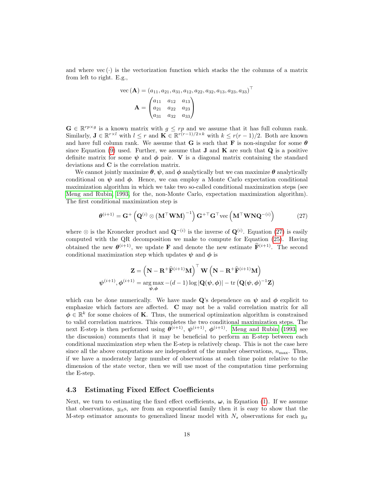and where  $vec(\cdot)$  is the vectorization function which stacks the the columns of a matrix from left to right. E.g.,

vec 
$$
(A) = (a_{11}, a_{21}, a_{31}, a_{12}, a_{22}, a_{32}, a_{13}, a_{23}, a_{33})^T
$$
  

$$
A = \begin{pmatrix} a_{11} & a_{12} & a_{13} \\ a_{21} & a_{22} & a_{23} \\ a_{31} & a_{32} & a_{33} \end{pmatrix}
$$

 $\mathbf{G} \in \mathbb{R}^{rp \times g}$  is a known matrix with  $g \leq rp$  and we assume that it has full column rank. Similarly,  $\mathbf{J} \in \mathbb{R}^{r \times l}$  with  $l \leq r$  and  $\mathbf{K} \in \mathbb{R}^{r(r-1)/2 \times k}$  with  $k \leq r(r-1)/2$ . Both are known and have full column rank. We assume that **G** is such that **F** is non-singular for some  $\theta$ since Equation [\(9\)](#page-5-2) used. Further, we assume that **J** and **K** are such that **Q** is a positive definite matrix for some  $\psi$  and  $\phi$  pair. V is a diagonal matrix containing the standard deviations and C is the correlation matrix.

We cannot jointly maximize  $\theta$ ,  $\psi$ , and  $\phi$  analytically but we can maximize  $\theta$  analytically conditional on  $\psi$  and  $\phi$ . Hence, we can employ a Monte Carlo expectation conditional maximization algorithm in which we take two so-called conditional maximization steps (see [Meng and Rubin, 1993,](#page-26-4) for the, non-Monte Carlo, expectation maximization algorithm). The first conditional maximization step is

<span id="page-17-0"></span>
$$
\boldsymbol{\theta}^{(i+1)} = \mathbf{G}^+ \left( \mathbf{Q}^{(i)} \otimes (\mathbf{M}^\top \mathbf{W} \mathbf{M})^{-1} \right) \mathbf{G}^{+ \top} \mathbf{G}^{\top} \text{vec} \left( \mathbf{M}^\top \mathbf{W} \mathbf{N} \mathbf{Q}^{-(i)} \right)
$$
(27)

where  $\otimes$  is the Kronecker product and  $\mathbf{Q}^{-(i)}$  is the inverse of  $\mathbf{Q}^{(i)}$ . Equation [\(27\)](#page-17-0) is easily computed with the QR decomposition we make to compute for Equation [\(25\)](#page-16-0). Having obtained the new  $\boldsymbol{\theta}^{(i+1)}$ , we update **F** and denote the new estimate  $\mathbf{\hat{F}}^{(i+1)}$ . The second conditional maximization step which updates  $\psi$  and  $\phi$  is

$$
\mathbf{Z} = \left(\mathbf{N} - \mathbf{R}^+\widehat{\mathbf{F}}^{(i+1)}\mathbf{M}\right)^\top \mathbf{W} \left(\mathbf{N} - \mathbf{R}^+\widehat{\mathbf{F}}^{(i+1)}\mathbf{M}\right)
$$

$$
\boldsymbol{\psi}^{(i+1)}, \boldsymbol{\phi}^{(i+1)} = \arg\max_{\boldsymbol{\psi}, \boldsymbol{\phi}} -(d-1)\log|\mathbf{Q}(\boldsymbol{\psi}, \boldsymbol{\phi})| - \text{tr}\left(\mathbf{Q}(\boldsymbol{\psi}, \boldsymbol{\phi})^{-1}\mathbf{Z}\right)
$$

which can be done numerically. We have made Q's dependence on  $\psi$  and  $\phi$  explicit to emphasize which factors are affected. C may not be a valid correlation matrix for all  $\phi \in \mathbb{R}^k$  for some choices of **K**. Thus, the numerical optimization algorithm is constrained to valid correlation matrices. This completes the two conditional maximization steps. The next E-step is then performed using  $\theta^{(i+1)}$ ,  $\psi^{(i+1)}$ ,  $\phi^{(i+1)}$ . [Meng and Rubin \(1993,](#page-26-4) see the discussion) comments that it may be beneficial to perform an E-step between each conditional maximization step when the E-step is relatively cheap. This is not the case here since all the above computations are independent of the number observations,  $n_{\text{max}}$ . Thus, if we have a moderately large number of observations at each time point relative to the dimension of the state vector, then we will use most of the computation time performing the E-step.

#### 4.3 Estimating Fixed Effect Coefficients

Next, we turn to estimating the fixed effect coefficients,  $\omega$ , in Equation [\(1\)](#page-0-0). If we assume that observations,  $y_{it}$ s, are from an exponential family then it is easy to show that the M-step estimator amounts to generalized linear model with  $N_s$  observations for each  $y_{it}$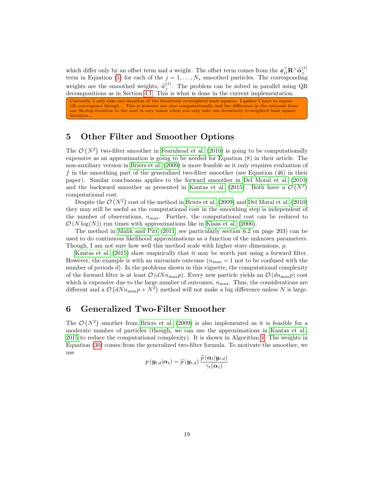which differ only by an offset term and a weight. The offset term comes from the  $x_{it}^{\top} \mathbf{R}^+ \hat{\alpha}_j^{(t)}$ term in Equation [\(1\)](#page-0-0) for each of the  $j = 1, \ldots, N_s$  smoothed particles. The corresponding weights are the smoothed weights,  $\hat{w}_j^{(t)}$ . The problem can be solved in parallel using QR decompositions as in Section [4.1.](#page-16-2) This is what is done in the current implementation.

Currently, I only take one iteration of the iteratively re-weighted least squares. I gather I have to repeat till convergence though... This is however not nice computationally and the difference in the estimate from one M-step iteration to the next is very minor when you only take one iteratively re-weighted least square iteration

### 5 Other Filter and Smoother Options

The  $\mathcal{O}(N^2)$  two-filter smoother in [Fearnhead et al. \(2010\)](#page-25-3) is going to be computationally expensive as an approximation is going to be needed for Equation (8) in their article. The non-auxiliary version in [Briers et al. \(2009\)](#page-25-4) is more feasible as it only requires evaluation of f in the smoothing part of the generalized two-filter smoother (see Equation (46) in their paper). Similar conclusions applies to the forward smoother in [Del Moral et al. \(2010\)](#page-25-8) and the backward smoother as presented in [Kantas et al. \(2015\)](#page-25-1). Both have a  $\mathcal{O}(N^2)$ computational cost.

Despite the  $\mathcal{O}(N^2)$  cost of the method in [Briers et al. \(2009\)](#page-25-4) and [Del Moral et al. \(2010\)](#page-25-8) they may still be useful as the computational cost in the smoothing step is independent of the number of observations,  $n_{\text{max}}$ . Further, the computational cost can be reduced to  $\mathcal{O}(N \log(N))$  run times with approximations like in [Klaas et al. \(2006\)](#page-25-9).

The method in [Malik and Pitt \(2011,](#page-26-2) see particularly section 6.2 on page 203) can be used to do continuous likelihood approximations as a function of the unknown parameters. Though, I am not sure how well this method scale with higher state dimensions,  $p$ .

[Kantas et al. \(2015\)](#page-25-1) show empirically that it may be worth just using a forward filter. However, the example is with an univariate outcome  $(n_{\text{max}} = 1 \text{ not to be confused with the})$ number of periods  $d$ ). In the problems shown in this vignette, the computational complexity of the forward filter is at least  $\mathcal{O}(dNn_{\text{max}}p)$ . Every new particle yields an  $\mathcal{O}(dn_{\text{max}}p)$  cost which is expensive due to the large number of outcomes,  $n_{\text{max}}$ . Thus, the considerations are different and a  $\mathcal{O}(dNn_{\text{max}}p+N^2)$  method will not make a big difference unless N is large.

### <span id="page-18-0"></span>6 Generalized Two-Filter Smoother

The  $\mathcal{O}(N^2)$  smother from [Briers et al. \(2009\)](#page-25-4) is also implemented as it is feasible for a moderate number of particles (though, we can use the approximations in [Kantas et al.,](#page-25-1) [2015](#page-25-1) to reduce the computational complexity). It is shown in Algorithm [4.](#page-20-0) The weights in Equation [\(30\)](#page-20-1) comes from the generalized two-filter formula. To motivate the smoother, we use

$$
p\left(\boldsymbol{y}_{t:d}|\boldsymbol{\alpha}_t\right) = \widetilde{p}\left(\boldsymbol{y}_{t:d}\right) \frac{\widetilde{p}\left(\boldsymbol{\alpha}_t|\boldsymbol{y}_{t:d}\right)}{\gamma_t(\boldsymbol{\alpha}_t)}
$$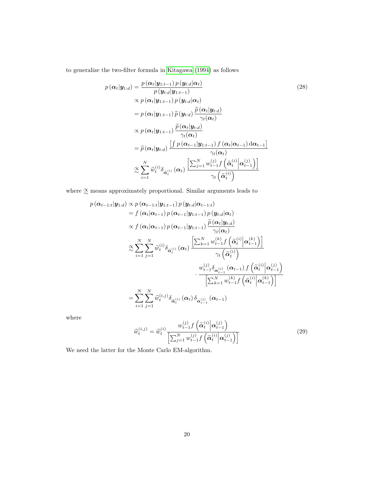to generalize the two-filter formula in [Kitagawa \(1994\)](#page-25-5) as follows

<span id="page-19-0"></span>
$$
p(\boldsymbol{\alpha}_{t}|\mathbf{y}_{1:d}) = \frac{p(\boldsymbol{\alpha}_{t}|\mathbf{y}_{1:t-1}) p(\mathbf{y}_{t:d}|\boldsymbol{\alpha}_{t})}{p(\mathbf{y}_{t:d}|\mathbf{y}_{1:t-1})}
$$
(28)  
\n
$$
\propto p(\boldsymbol{\alpha}_{t}|\mathbf{y}_{1:t-1}) p(\mathbf{y}_{t:d}|\boldsymbol{\alpha}_{t})
$$
  
\n
$$
= p(\boldsymbol{\alpha}_{t}|\mathbf{y}_{1:t-1}) \widetilde{p}(\mathbf{y}_{t:d}) \frac{\widetilde{p}(\boldsymbol{\alpha}_{t}|\mathbf{y}_{t:d})}{\gamma_{t}(\boldsymbol{\alpha}_{t})}
$$
  
\n
$$
\propto p(\boldsymbol{\alpha}_{t}|\mathbf{y}_{1:t-1}) \frac{\widetilde{p}(\boldsymbol{\alpha}_{t}|\mathbf{y}_{t:d})}{\gamma_{t}(\boldsymbol{\alpha}_{t})}
$$
  
\n
$$
= \widetilde{p}(\boldsymbol{\alpha}_{t}|\mathbf{y}_{t:d}) \frac{\left[\int p(\boldsymbol{\alpha}_{t-1}|\mathbf{y}_{1:t-1}) f(\boldsymbol{\alpha}_{t}|\boldsymbol{\alpha}_{t-1}) d\boldsymbol{\alpha}_{t-1}\right]}{\gamma_{t}(\boldsymbol{\alpha}_{t})}
$$
  
\n
$$
\approx \sum_{i=1}^{N} \widetilde{w}_{t}^{(i)} \delta_{\widetilde{\boldsymbol{\alpha}}_{t}^{(i)}}(\boldsymbol{\alpha}_{t}) \frac{\left[\sum_{j=1}^{N} w_{t-1}^{(j)} f(\widetilde{\boldsymbol{\alpha}}_{t}^{(i)}|\boldsymbol{\alpha}_{t-1}^{(j)})\right]}{\gamma_{t}(\widetilde{\boldsymbol{\alpha}}_{t}^{(i)})}
$$

where  $\underset{\sim}{\propto}$  means approximately proportional. Similar arguments leads to

$$
p(\boldsymbol{\alpha}_{t-1:t}|\mathbf{y}_{1:d}) \propto p(\boldsymbol{\alpha}_{t-1:t}|\mathbf{y}_{1:t-1}) p(\mathbf{y}_{t:d}|\boldsymbol{\alpha}_{t-1:t})
$$
  
\n
$$
= f(\boldsymbol{\alpha}_{t}|\boldsymbol{\alpha}_{t-1}) p(\boldsymbol{\alpha}_{t-1}|\mathbf{y}_{1:t-1}) p(\mathbf{y}_{t:d}|\boldsymbol{\alpha}_{t})
$$
  
\n
$$
\propto f(\boldsymbol{\alpha}_{t}|\boldsymbol{\alpha}_{t-1}) p(\boldsymbol{\alpha}_{t-1}|\mathbf{y}_{1:t-1}) \frac{\widetilde{p}(\boldsymbol{\alpha}_{t}|\mathbf{y}_{t:d})}{\gamma_{t}(\boldsymbol{\alpha}_{t})}
$$
  
\n
$$
\propto \sum_{i=1}^{N} \sum_{j=1}^{N} \widetilde{w}_{t}^{(i)} \delta_{\widetilde{\boldsymbol{\alpha}}_{t}^{(i)}}(\boldsymbol{\alpha}_{t}) \frac{\left[\sum_{k=1}^{N} w_{t-1}^{(k)} f(\widetilde{\boldsymbol{\alpha}}_{t}^{(i)}|\boldsymbol{\alpha}_{t-1}^{(k)})\right]}{\gamma_{t}(\widetilde{\boldsymbol{\alpha}}_{t}^{(i)})}
$$
  
\n
$$
\cdot \frac{w_{t-1}^{(j)} \delta_{\boldsymbol{\alpha}_{t-1}^{(j)}}(\boldsymbol{\alpha}_{t-1}) f(\widetilde{\boldsymbol{\alpha}}_{t}^{(i)}|\boldsymbol{\alpha}_{t-1}^{(j)})}{\left[\sum_{k=1}^{N} w_{t-1}^{(k)} f(\widetilde{\boldsymbol{\alpha}}_{t}^{(i)}|\boldsymbol{\alpha}_{t-1}^{(k)})\right]}
$$
  
\n
$$
= \sum_{i=1}^{N} \sum_{j=1}^{N} \widehat{w}_{t}^{(i,j)} \delta_{\widetilde{\boldsymbol{\alpha}}_{t}^{(i)}}(\boldsymbol{\alpha}_{t}) \delta_{\boldsymbol{\alpha}_{t-1}^{(j)}}(\boldsymbol{\alpha}_{t-1})
$$

where

$$
\widehat{w}_{t}^{(i,j)} = \widehat{w}_{t}^{(i)} \frac{w_{t-1}^{(j)} f\left(\widetilde{\alpha}_{t}^{(i)} \middle| \alpha_{t-1}^{(j)}\right)}{\left[\sum_{j=1}^{N} w_{t-1}^{(j)} f\left(\widetilde{\alpha}_{t}^{(i)} \middle| \alpha_{t-1}^{(j)}\right)\right]}
$$
\n(29)

We need the latter for the Monte Carlo EM-algorithm.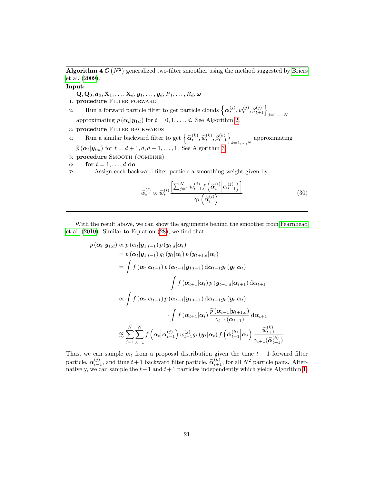<span id="page-20-0"></span>Algorithm 4  $\mathcal{O}(N^2)$  generalized two-filter smoother using the method suggested by [Briers](#page-25-4) [et al. \(2009\)](#page-25-4).

#### Input:

 $\mathbf{Q}, \mathbf{Q}_0, \boldsymbol{a}_0, \mathbf{X}_1, \ldots, \mathbf{X}_d, \boldsymbol{y}_1, \ldots, \boldsymbol{y}_d, R_1, \ldots, R_d, \boldsymbol{\omega}$ 

- 1: procedure FILTER FORWARD
- 2: Run a forward particle filter to get particle clouds  $\left\{ \alpha_t^{(j)}, w_t^{(j)}, \beta_{t+1}^{(j)} \right\}_{j=1,\ldots,N}$
- approximating  $p(\alpha_t|\mathbf{y}_{1:t})$  for  $t = 0, 1, ..., d$ . See Algorithm [2.](#page-9-0)
- 3: procedure FILTER BACKWARDS
- 4: Run a similar backward filter to get  $\left\{ \widetilde{\alpha}_{t}^{(k)}, \widetilde{w}_{t}^{(k)}, \widetilde{\beta}_{t-1}^{(k)} \right\}$  $_{k=1,...,N}$  approximating  $\widetilde{p}(\boldsymbol{\alpha}_t|\boldsymbol{y}_{t:d})$  for  $t = d + 1, d, d - 1, \ldots, 1$ . See Algorithm [3.](#page-10-0)
- 5: procedure SMOOTH (COMBINE)
- 6: for  $t = 1, \ldots, d$  do

7: Assign each backward filter particle a smoothing weight given by

<span id="page-20-1"></span>
$$
\widehat{w}_t^{(i)} \propto \widetilde{w}_t^{(i)} \frac{\left[\sum_{j=1}^N w_{t-1}^{(j)} f\left(\widetilde{\alpha}_t^{(i)} \middle| \alpha_{t-1}^{(j)}\right)\right]}{\gamma_t \left(\widetilde{\alpha}_t^{(i)}\right)} \tag{30}
$$

With the result above, we can show the arguments behind the smoother from [Fearnhead](#page-25-3) [et al. \(2010\)](#page-25-3). Similar to Equation [\(28\)](#page-19-0), we find that

$$
p(\boldsymbol{\alpha}_{t}|\mathbf{y}_{1:d}) \propto p(\boldsymbol{\alpha}_{t}|\mathbf{y}_{1:t-1}) p(\mathbf{y}_{t:d}|\boldsymbol{\alpha}_{t})
$$
  
\n
$$
= p(\boldsymbol{\alpha}_{t}|\mathbf{y}_{1:t-1}) g_{t}(\mathbf{y}_{t}|\boldsymbol{\alpha}_{t}) p(\mathbf{y}_{t+1:d}|\boldsymbol{\alpha}_{t})
$$
  
\n
$$
= \int f(\boldsymbol{\alpha}_{t}|\boldsymbol{\alpha}_{t-1}) p(\boldsymbol{\alpha}_{t-1}|\mathbf{y}_{1:t-1}) d\boldsymbol{\alpha}_{t-1} g_{t}(\mathbf{y}_{t}|\boldsymbol{\alpha}_{t})
$$
  
\n
$$
\cdot \int f(\boldsymbol{\alpha}_{t+1}|\boldsymbol{\alpha}_{t}) p(\mathbf{y}_{t+1:d}|\boldsymbol{\alpha}_{t+1}) d\boldsymbol{\alpha}_{t+1}
$$
  
\n
$$
\propto \int f(\boldsymbol{\alpha}_{t}|\boldsymbol{\alpha}_{t-1}) p(\boldsymbol{\alpha}_{t-1}|\mathbf{y}_{1:t-1}) d\boldsymbol{\alpha}_{t-1} g_{t}(\mathbf{y}_{t}|\boldsymbol{\alpha}_{t})
$$
  
\n
$$
\cdot \int f(\boldsymbol{\alpha}_{t+1}|\boldsymbol{\alpha}_{t}) \frac{\widetilde{p}(\boldsymbol{\alpha}_{t+1}|\mathbf{y}_{t+1:d})}{\gamma_{t+1}(\boldsymbol{\alpha}_{t+1})} d\boldsymbol{\alpha}_{t+1}
$$
  
\n
$$
\approx \sum_{j=1}^{N} \sum_{k=1}^{N} f(\boldsymbol{\alpha}_{t}|\boldsymbol{\alpha}_{t-1}^{(j)}) w_{t-1}^{(j)} g_{t}(\mathbf{y}_{t}|\boldsymbol{\alpha}_{t}) f(\widetilde{\boldsymbol{\alpha}}_{t+1}^{(k)}|\boldsymbol{\alpha}_{t}) \frac{\widetilde{w}_{t+1}^{(k)}}{\gamma_{t+1}(\widetilde{\boldsymbol{\alpha}}_{t+1}^{(k)})}
$$

Thus, we can sample  $\alpha_t$  from a proposal distribution given the time  $t-1$  forward filter particle,  $\alpha_{t-1}^{(j)}$ , and time  $t+1$  backward filter particle,  $\tilde{\alpha}_{t+1}^{(k)}$ , for all  $N^2$  particle pairs. Alternatively, we can sample the  $t-1$  and  $t+1$  particles independently which yields Algorithm [1.](#page-8-0)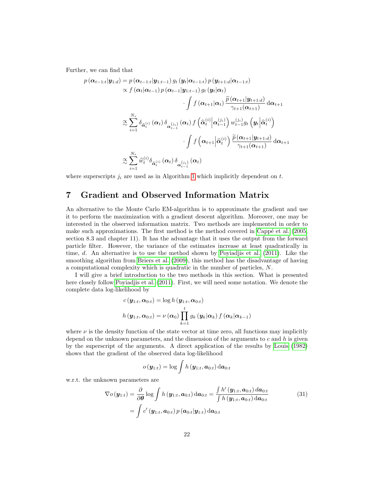Further, we can find that

$$
p(\boldsymbol{\alpha}_{t-1:t}|\mathbf{y}_{1:d}) = p(\boldsymbol{\alpha}_{t-1:t}|\mathbf{y}_{1:t-1}) g_t(\mathbf{y}_t|\boldsymbol{\alpha}_{t-1:t}) p(\mathbf{y}_{t+1:d}|\boldsymbol{\alpha}_{t-1:t})
$$
  
\n
$$
\propto f(\boldsymbol{\alpha}_t|\boldsymbol{\alpha}_{t-1}) p(\boldsymbol{\alpha}_{t-1}|\mathbf{y}_{1:t-1}) g_t(\mathbf{y}_t|\boldsymbol{\alpha}_t)
$$
  
\n
$$
\int f(\boldsymbol{\alpha}_{t+1}|\boldsymbol{\alpha}_t) \frac{\widetilde{p}(\boldsymbol{\alpha}_{t+1}|\mathbf{y}_{t+1:d})}{\gamma_{t+1}(\boldsymbol{\alpha}_{t+1})} d\boldsymbol{\alpha}_{t+1}
$$
  
\n
$$
\approx \sum_{i=1}^{N_s} \delta_{\widehat{\boldsymbol{\alpha}}_t^{(i)}} (\boldsymbol{\alpha}_t) \delta_{\boldsymbol{\alpha}_{t-1}^{(j)}} (\boldsymbol{\alpha}_t) f(\widehat{\boldsymbol{\alpha}}_t^{(i)} | \boldsymbol{\alpha}_{t-1}^{(i)}) w_{t-1}^{(j_i)} g_t(\mathbf{y}_t | \widehat{\boldsymbol{\alpha}}_t^{(i)})
$$
  
\n
$$
\int f(\boldsymbol{\alpha}_{t+1} | \widehat{\boldsymbol{\alpha}}_t^{(i)}) \frac{\widetilde{p}(\boldsymbol{\alpha}_{t+1}|\mathbf{y}_{t+1:d})}{\gamma_{t+1}(\boldsymbol{\alpha}_{t+1})} d\boldsymbol{\alpha}_{t+1}
$$
  
\n
$$
\approx \sum_{i=1}^{N_s} \widehat{w}_t^{(i)} \delta_{\widehat{\boldsymbol{\alpha}}_t^{(i)}} (\boldsymbol{\alpha}_t) \delta_{\boldsymbol{\alpha}_{t-1}^{(j)}} (\boldsymbol{\alpha}_t)
$$

where superscripts  $j_i$  are used as in Algorithm [1](#page-8-0) which implicitly dependent on t.

## 7 Gradient and Observed Information Matrix

An alternative to the Monte Carlo EM-algorithm is to approximate the gradient and use it to perform the maximization with a gradient descent algorithm. Moreover, one may be interested in the observed information matrix. Two methods are implemented in order to make such approximations. The first method is the method covered in Cappé et al.  $(2005,$ section 8.3 and chapter 11). It has the advantage that it uses the output from the forward particle filter. However, the variance of the estimates increase at least quadratically in time, d. An alternative is to use the method shown by [Poyiadjis et al. \(2011\)](#page-26-5). Like the smoothing algorithm from [Briers et al. \(2009\)](#page-25-4), this method has the disadvantage of having a computational complexity which is quadratic in the number of particles, N.

I will give a brief introduction to the two methods in this section. What is presented here closely follow [Poyiadjis et al. \(2011\)](#page-26-5). First, we will need some notation. We denote the complete data log-likelihood by

$$
c(\boldsymbol{y}_{1:t}, \boldsymbol{\alpha}_{0:t}) = \log h(\boldsymbol{y}_{1:t}, \boldsymbol{\alpha}_{0:t})
$$
  

$$
h(\boldsymbol{y}_{1:t}, \boldsymbol{\alpha}_{0:t}) = \nu(\boldsymbol{\alpha}_0) \prod_{k=1}^t g_k(\boldsymbol{y}_k | \boldsymbol{\alpha}_k) f(\boldsymbol{\alpha}_k | \boldsymbol{\alpha}_{k-1})
$$

where  $\nu$  is the density function of the state vector at time zero, all functions may implicitly depend on the unknown parameters, and the dimension of the arguments to  $c$  and  $h$  is given by the superscript of the arguments. A direct application of the results by [Louis \(1982\)](#page-25-10) shows that the gradient of the observed data log-likelihood

<span id="page-21-0"></span>
$$
o\left(\boldsymbol{y}_{1:t}\right)=\log \int h\left(\boldsymbol{y}_{1:t},\boldsymbol{a}_{0:t}\right) \mathrm{d} \boldsymbol{a}_{0:t}
$$

w.r.t. the unknown parameters are

$$
\nabla o(\mathbf{y}_{1:t}) = \frac{\partial}{\partial \theta} \log \int h(\mathbf{y}_{1:t}, \mathbf{a}_{0:t}) d\mathbf{a}_{0:t} = \frac{\int h'(\mathbf{y}_{1:t}, \mathbf{a}_{0:t}) d\mathbf{a}_{0:t}}{\int h(\mathbf{y}_{1:t}, \mathbf{a}_{0:t}) d\mathbf{a}_{0:t}} = \int c'(\mathbf{y}_{1:t}, \mathbf{a}_{0:t}) p(\mathbf{a}_{0:t}|\mathbf{y}_{1:t}) d\mathbf{a}_{0:t}
$$
\n(31)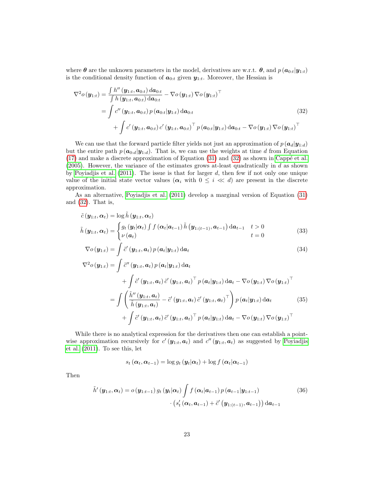where  $\theta$  are the unknown parameters in the model, derivatives are w.r.t.  $\theta$ , and  $p(\boldsymbol{a}_{0:t}|\boldsymbol{y}_{1:t})$ is the conditional density function of  $a_{0:t}$  given  $y_{1:t}$ . Moreover, the Hessian is

<span id="page-22-0"></span>
$$
\nabla^{2} o(\mathbf{y}_{1:t}) = \frac{\int h''(\mathbf{y}_{1:t}, \mathbf{a}_{0:t}) d\mathbf{a}_{0:t}}{\int h(\mathbf{y}_{1:t}, \mathbf{a}_{0:t}) d\mathbf{a}_{0:t}} - \nabla o(\mathbf{y}_{1:t}) \nabla o(\mathbf{y}_{1:t})^{\top}
$$
\n
$$
= \int c''(\mathbf{y}_{1:t}, \mathbf{a}_{0:t}) p(\mathbf{a}_{0:t}|\mathbf{y}_{1:t}) d\mathbf{a}_{0:t} + \int c'(\mathbf{y}_{1:t}, \mathbf{a}_{0:t}) c'(\mathbf{y}_{1:t}, \mathbf{a}_{0:t})^{\top} p(\mathbf{a}_{0:t}|\mathbf{y}_{1:t}) d\mathbf{a}_{0:t} - \nabla o(\mathbf{y}_{1:t}) \nabla o(\mathbf{y}_{1:t})^{\top}
$$
\n(32)

We can use that the forward particle filter yields not just an approximation of  $p(\mathbf{a}_d|\mathbf{y}_{1:d})$ but the entire path  $p(\mathbf{a}_{0:d}|\mathbf{y}_{1:d})$ . That is, we can use the weights at time d from Equation  $(17)$  and make a discrete approximation of Equation  $(31)$  and  $(32)$  as shown in Cappé et al.  $(2005)$ . However, the variance of the estimates grows at-least quadratically in d as shown by Poyiadjis et al.  $(2011)$ . The issue is that for larger d, then few if not only one unique value of the initial state vector values ( $\alpha_i$  with  $0 \leq i \ll d$ ) are present in the discrete approximation.

As an alternative, [Poyiadjis et al. \(2011\)](#page-26-5) develop a marginal version of Equation [\(31\)](#page-21-0) and [\(32\)](#page-22-0). That is,

$$
\tilde{c}(\boldsymbol{y}_{1:t}, \boldsymbol{\alpha}_t) = \log \tilde{h}(\boldsymbol{y}_{1:t}, \boldsymbol{\alpha}_t)
$$
\n
$$
\tilde{h}(\boldsymbol{y}_{1:t}, \boldsymbol{\alpha}_t) = \begin{cases}\ng_t(\boldsymbol{y}_t | \boldsymbol{\alpha}_t) \int f(\boldsymbol{\alpha}_t | \boldsymbol{a}_{t-1}) \tilde{h}(\boldsymbol{y}_{1:(t-1)}, \boldsymbol{a}_{t-1}) \, \mathrm{d}\boldsymbol{a}_{t-1} & t > 0 \\
\nu(\boldsymbol{a}_t) & t = 0\n\end{cases} \tag{33}
$$

$$
\nabla o(\mathbf{y}_{1:t}) = \int \tilde{c}'(\mathbf{y}_{1:t}, \mathbf{a}_t) p(\mathbf{a}_t | \mathbf{y}_{1:t}) d\mathbf{a}_t
$$
\n
$$
\nabla^2 o(\mathbf{y}_{1:t}) = \int \tilde{c}''(\mathbf{y}_{1:t}, \mathbf{a}_t) p(\mathbf{a}_t | \mathbf{y}_{1:t}) d\mathbf{a}_t
$$
\n(34)

<span id="page-22-2"></span>
$$
{}^{2}o(\boldsymbol{y}_{1:t}) = \int \tilde{c}''(\boldsymbol{y}_{1:t}, \boldsymbol{a}_{t}) p(\boldsymbol{a}_{t} | \boldsymbol{y}_{1:t}) d\boldsymbol{a}_{t} + \int \tilde{c}'(\boldsymbol{y}_{1:t}, \boldsymbol{a}_{t}) \tilde{c}'(\boldsymbol{y}_{1:t}, \boldsymbol{a}_{t})^{\top} p(\boldsymbol{a}_{t} | \boldsymbol{y}_{1:t}) d\boldsymbol{a}_{t} - \nabla o(\boldsymbol{y}_{1:t}) \nabla o(\boldsymbol{y}_{1:t})^{\top} = \int \left( \frac{\tilde{h}''(\boldsymbol{y}_{1:t}, \boldsymbol{a}_{t})}{\tilde{h}(\boldsymbol{y}_{1:t}, \boldsymbol{a}_{t})} - \tilde{c}'(\boldsymbol{y}_{1:t}, \boldsymbol{a}_{t}) \tilde{c}'(\boldsymbol{y}_{1:t}, \boldsymbol{a}_{t})^{\top} \right) p(\boldsymbol{a}_{t} | \boldsymbol{y}_{1:t}) d\boldsymbol{a}_{t} \qquad (35) + \int \tilde{c}'(\boldsymbol{y}_{1:t}, \boldsymbol{a}_{t}) \tilde{c}'(\boldsymbol{y}_{1:t}, \boldsymbol{a}_{t})^{\top} p(\boldsymbol{a}_{t} | \boldsymbol{y}_{1:t}) d\boldsymbol{a}_{t} - \nabla o(\boldsymbol{y}_{1:t}) \nabla o(\boldsymbol{y}_{1:t})^{\top}
$$

While there is no analytical expression for the derivatives then one can establish a pointwise approximation recursively for  $c'(\mathbf{y}_{1:t}, \mathbf{a}_t)$  and  $c''(\mathbf{y}_{1:t}, \mathbf{a}_t)$  as suggested by [Poyiadjis](#page-26-5) [et al. \(2011\)](#page-26-5). To see this, let

<span id="page-22-4"></span><span id="page-22-3"></span><span id="page-22-1"></span>
$$
s_t(\boldsymbol{\alpha}_t, \boldsymbol{\alpha}_{t-1}) = \log g_t(\boldsymbol{y}_t | \boldsymbol{\alpha}_t) + \log f(\boldsymbol{\alpha}_t | \boldsymbol{\alpha}_{t-1})
$$

Then

$$
\tilde{h}'\left(\mathbf{y}_{1:t}, \boldsymbol{\alpha}_{t}\right) = o\left(\mathbf{y}_{1:t-1}\right) g_{t}\left(\mathbf{y}_{t} | \boldsymbol{\alpha}_{t}\right) \int f\left(\boldsymbol{\alpha}_{t} | \boldsymbol{a}_{t-1}\right) p\left(\boldsymbol{a}_{t-1} | \mathbf{y}_{1:t-1}\right) \tag{36}
$$
\n
$$
\cdot \left(s_{t}'\left(\boldsymbol{\alpha}_{t}, \boldsymbol{a}_{t-1}\right) + \tilde{c}'\left(\mathbf{y}_{1:(t-1)}, \boldsymbol{a}_{t-1}\right)\right) d\boldsymbol{a}_{t-1}
$$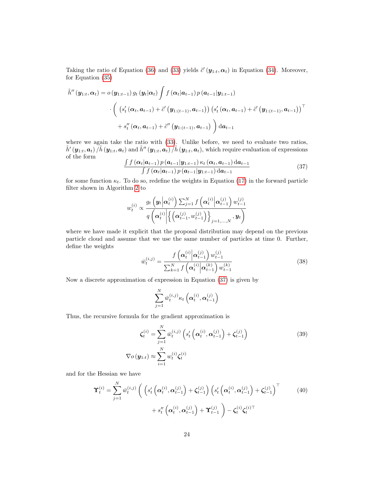Taking the ratio of Equation [\(36\)](#page-22-1) and [\(33\)](#page-22-2) yields  $\tilde{c}'(\mathbf{y}_{1:t}, \alpha_t)$  in Equation [\(34\)](#page-22-3). Moreover, for Equation [\(35\)](#page-22-4)

$$
\tilde{h}''(\mathbf{y}_{1:t}, \alpha_t) = o(\mathbf{y}_{1:t-1}) g_t(\mathbf{y}_t | \alpha_t) \int f(\alpha_t | \mathbf{a}_{t-1}) p(\mathbf{a}_{t-1} | \mathbf{y}_{1:t-1})
$$
\n
$$
\cdot \left( \left( s'_t(\alpha_t, \mathbf{a}_{t-1}) + \tilde{c}'(\mathbf{y}_{1:(t-1)}, \mathbf{a}_{t-1}) \right) \left( s'_t(\alpha_t, \mathbf{a}_{t-1}) + \tilde{c}'(\mathbf{y}_{1:(t-1)}, \mathbf{a}_{t-1}) \right)^\top + s''_t(\alpha_t, \mathbf{a}_{t-1}) + \tilde{c}''(\mathbf{y}_{1:(t-1)}, \mathbf{a}_{t-1}) \right) d\mathbf{a}_{t-1}
$$

where we again take the ratio with  $(33)$ . Unlike before, we need to evaluate two ratios,  $\tilde{h}'\left(\bm{y}_{1:t}, \bm{a}_t\right) / \tilde{h}\left(\bm{y}_{1:t}, \bm{a}_t\right)$  and  $\tilde{h}''\left(\bm{y}_{1:t}, \bm{a}_t\right) / \tilde{h}\left(\bm{y}_{1:t}, \bm{a}_t\right)$ , which require evaluation of expressions of the form

<span id="page-23-0"></span>
$$
\frac{\int f(\alpha_t|a_{t-1}) p(a_{t-1}|y_{1:t-1}) \kappa_t(\alpha_t, a_{t-1}) da_{t-1}}{\int f(\alpha_t|a_{t-1}) p(a_{t-1}|y_{1:t-1}) da_{t-1}} \tag{37}
$$

for some function  $\kappa_t$ . To do so, redefine the weights in Equation [\(17\)](#page-9-1) in the forward particle filter shown in Algorithm [2](#page-9-0) to

$$
w_t^{(i)} \propto \frac{g_t\left(\mathbf{y}_t\middle|\mathbf{\alpha}_t^{(i)}\right)\sum_{j=1}^N f\left(\mathbf{\alpha}_t^{(i)}\middle|\mathbf{\alpha}_{t-1}^{(j)}\right)w_{t-1}^{(j)}}{q\left(\mathbf{\alpha}_t^{(i)}\middle|\left\{\left(\mathbf{\alpha}_{t-1}^{(j)}, w_{t-1}^{(j)}\right)\right\}_{j=1,\dots,N},\mathbf{y}_t\right)}
$$

where we have made it explicit that the proposal distribution may depend on the previous particle cloud and assume that we use the same number of particles at time 0. Further, define the weights

<span id="page-23-1"></span>
$$
\bar{w}_{t}^{(i,j)} = \frac{f\left(\alpha_{t}^{(i)}\middle|\alpha_{t-1}^{(j)}\right)w_{t-1}^{(j)}}{\sum_{k=1}^{N} f\left(\alpha_{t}^{(i)}\middle|\alpha_{t-1}^{(k)}\right)w_{t-1}^{(k)}}
$$
\n(38)

Now a discrete approximation of expression in Equation [\(37\)](#page-23-0) is given by

<span id="page-23-3"></span><span id="page-23-2"></span>
$$
\sum_{j=1}^{N}\bar{w}_{t}^{\left(i,j\right)}\kappa_{t}\left(\boldsymbol{\alpha}_{t}^{\left(i\right)},\boldsymbol{\alpha}_{t-1}^{\left(j\right)}\right)
$$

Thus, the recursive formula for the gradient approximation is

$$
\zeta_t^{(i)} = \sum_{j=1}^N \bar{w}_t^{(i,j)} \left( s_t' \left( \alpha_t^{(i)}, \alpha_{t-1}^{(j)} \right) + \zeta_{t-1}^{(j)} \right)
$$
\n
$$
\nabla o(\mathbf{y}_{1:t}) \approx \sum_{i=1}^N w_t^{(i)} \zeta_t^{(i)}
$$
\n(39)

and for the Hessian we have

$$
\mathbf{\Upsilon}_{t}^{(i)} = \sum_{j=1}^{N} \bar{w}_{t}^{(i,j)} \left( \left( s_{t}^{\prime} \left( \mathbf{\alpha}_{t}^{(i)}, \mathbf{\alpha}_{t-1}^{(j)} \right) + \mathbf{\zeta}_{t-1}^{(j)} \right) \left( s_{t}^{\prime} \left( \mathbf{\alpha}_{t}^{(i)}, \mathbf{\alpha}_{t-1}^{(j)} \right) + \mathbf{\zeta}_{t-1}^{(j)} \right)^{\top} + s_{t}^{\prime\prime} \left( \mathbf{\alpha}_{t}^{(i)}, \mathbf{\alpha}_{t-1}^{(j)} \right) + \mathbf{\Upsilon}_{t-1}^{(j)} \right) - \mathbf{\zeta}_{t}^{(i)} \mathbf{\zeta}_{t}^{(i)\top}
$$
\n(40)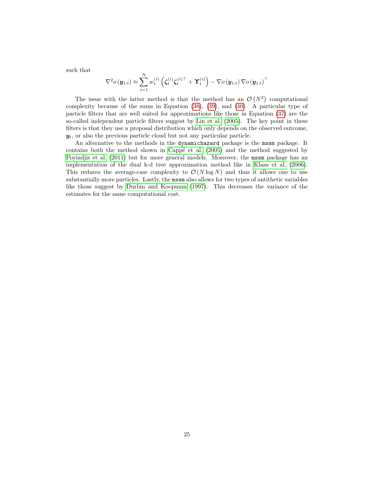such that

$$
\nabla^2 o(\mathbf{y}_{1:t}) \approx \sum_{i=1}^N w_t^{(i)} \left( \zeta_t^{(i)} \zeta_t^{(i)\top} + \Upsilon_t^{(i)} \right) - \nabla o(\mathbf{y}_{1:t}) \nabla o(\mathbf{y}_{1:t})^\top
$$

The issue with the latter method is that the method has an  $\mathcal{O}(N^2)$  computational complexity because of the sums in Equation [\(38\)](#page-23-1), [\(39\)](#page-23-2), and [\(40\)](#page-23-3). A particular type of particle filters that are well suited for approximations like those in Equation [\(37\)](#page-23-0) are the so-called independent particle filters suggest by [Lin et al. \(2005\)](#page-25-11). The key point in these filters is that they use a proposal distribution which only depends on the observed outcome,  $y_t$ , or also the previous particle cloud but not any particular particle.

An alternative to the methods in the dynamichazard package is the mssm package. It contains both the method shown in Cappé et al.  $(2005)$  and the method suggested by [Poyiadjis et al. \(2011\)](#page-26-5) but for more general models. Moreover, the mssm package has an implementation of the dual k-d tree approximation method like in Klaas [et al. \(2006\)](#page-25-9). This reduces the average-case complexity to  $\mathcal{O}(N \log N)$  and thus it allows one to use substantially more particles. Lastly, the mssm also allows for two types of antithetic variables like those suggest by [Durbin and Koopman \(1997\)](#page-25-12). This decreases the variance of the estimates for the same computational cost.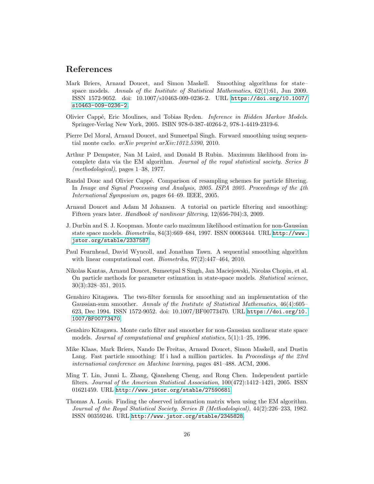### References

- <span id="page-25-4"></span>Mark Briers, Arnaud Doucet, and Simon Maskell. Smoothing algorithms for state– space models. *Annals of the Institute of Statistical Mathematics*, 62(1):61, Jun 2009. ISSN 1572-9052. doi: 10.1007/s10463-009-0236-2. URL [https://doi.org/10.1007/](https://doi.org/10.1007/s10463-009-0236-2) [s10463-009-0236-2](https://doi.org/10.1007/s10463-009-0236-2).
- <span id="page-25-2"></span>Olivier Capp´e, Eric Moulines, and Tobias Ryden. *Inference in Hidden Markov Models*. Springer-Verlag New York, 2005. ISBN 978-0-387-40264-2, 978-1-4419-2319-6.
- <span id="page-25-8"></span>Pierre Del Moral, Arnaud Doucet, and Sumeetpal Singh. Forward smoothing using sequential monte carlo. *arXiv preprint arXiv:1012.5390*, 2010.
- Arthur P Dempster, Nan M Laird, and Donald B Rubin. Maximum likelihood from incomplete data via the EM algorithm. *Journal of the royal statistical society. Series B (methodological)*, pages 1–38, 1977.
- <span id="page-25-7"></span>Randal Douc and Olivier Cappé. Comparison of resampling schemes for particle filtering. In *Image and Signal Processing and Analysis, 2005. ISPA 2005. Proceedings of the 4th International Symposium on*, pages 64–69. IEEE, 2005.
- <span id="page-25-0"></span>Arnaud Doucet and Adam M Johansen. A tutorial on particle filtering and smoothing: Fifteen years later. *Handbook of nonlinear filtering*, 12(656-704):3, 2009.
- <span id="page-25-12"></span>J. Durbin and S. J. Koopman. Monte carlo maximum likelihood estimation for non-Gaussian state space models. *Biometrika*, 84(3):669–684, 1997. ISSN 00063444. URL [http://www.](http://www.jstor.org/stable/2337587) [jstor.org/stable/2337587](http://www.jstor.org/stable/2337587).
- <span id="page-25-3"></span>Paul Fearnhead, David Wyncoll, and Jonathan Tawn. A sequential smoothing algorithm with linear computational cost. *Biometrika*, 97(2):447–464, 2010.
- <span id="page-25-1"></span>Nikolas Kantas, Arnaud Doucet, Sumeetpal S Singh, Jan Maciejowski, Nicolas Chopin, et al. On particle methods for parameter estimation in state-space models. *Statistical science*, 30(3):328–351, 2015.
- <span id="page-25-5"></span>Genshiro Kitagawa. The two-filter formula for smoothing and an implementation of the Gaussian-sum smoother. *Annals of the Institute of Statistical Mathematics*, 46(4):605– 623, Dec 1994. ISSN 1572-9052. doi: 10.1007/BF00773470. URL [https://doi.org/10.](https://doi.org/10.1007/BF00773470) [1007/BF00773470](https://doi.org/10.1007/BF00773470).
- <span id="page-25-6"></span>Genshiro Kitagawa. Monte carlo filter and smoother for non-Gaussian nonlinear state space models. *Journal of computational and graphical statistics*, 5(1):1–25, 1996.
- <span id="page-25-9"></span>Mike Klaas, Mark Briers, Nando De Freitas, Arnaud Doucet, Simon Maskell, and Dustin Lang. Fast particle smoothing: If i had a million particles. In *Proceedings of the 23rd international conference on Machine learning*, pages 481–488. ACM, 2006.
- <span id="page-25-11"></span>Ming T. Lin, Junni L. Zhang, Qiansheng Cheng, and Rong Chen. Independent particle filters. *Journal of the American Statistical Association*, 100(472):1412–1421, 2005. ISSN 01621459. URL <http://www.jstor.org/stable/27590681>.
- <span id="page-25-10"></span>Thomas A. Louis. Finding the observed information matrix when using the EM algorithm. *Journal of the Royal Statistical Society. Series B (Methodological)*, 44(2):226–233, 1982. ISSN 00359246. URL <http://www.jstor.org/stable/2345828>.